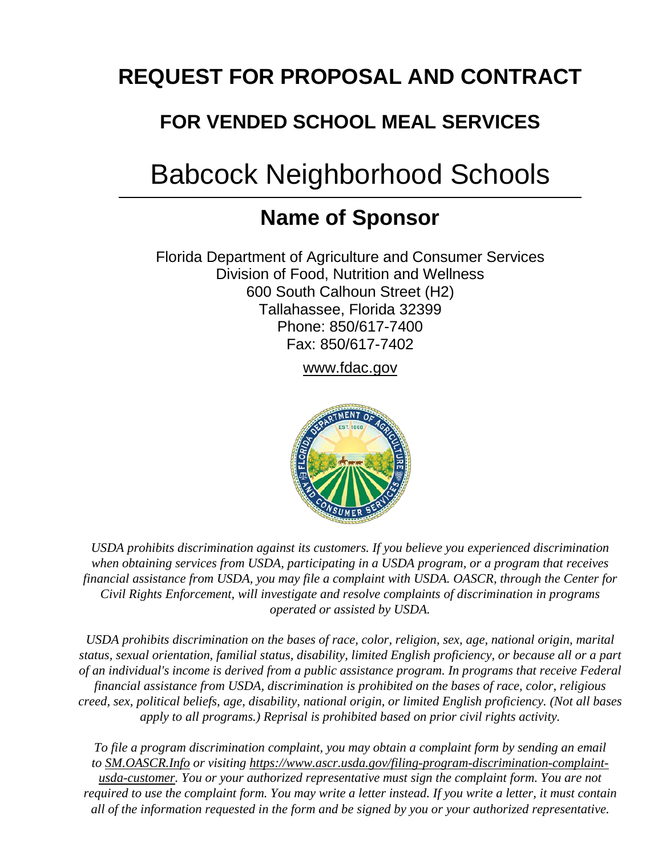## **REQUEST FOR PROPOSAL AND CONTRACT**

## **FOR VENDED SCHOOL MEAL SERVICES**

# Babcock Neighborhood Schools

## **Name of Sponsor**

Florida Department of Agriculture and Consumer Services Division of Food, Nutrition and Wellness 600 South Calhoun Street (H2) Tallahassee, Florida 32399 Phone: 850/617-7400 Fax: 850/617-7402

[www.fdac.gov](http://www.fdac.gov/) 



*USDA prohibits discrimination against its customers. If you believe you experienced discrimination when obtaining services from USDA, participating in a USDA program, or a program that receives financial assistance from USDA, you may file a complaint with USDA. OASCR, through the Center for Civil Rights Enforcement, will investigate and resolve complaints of discrimination in programs operated or assisted by USDA.*

*USDA prohibits discrimination on the bases of race, color, religion, sex, age, national origin, marital status, sexual orientation, familial status, disability, limited English proficiency, or because all or a part of an individual's income is derived from a public assistance program. In programs that receive Federal financial assistance from USDA, discrimination is prohibited on the bases of race, color, religious creed, sex, political beliefs, age, disability, national origin, or limited English proficiency. (Not all bases apply to all programs.) Reprisal is prohibited based on prior civil rights activity.*

*To file a program discrimination complaint, you may obtain a complaint form by sending an email to [SM.OASCR.Info](mailto:SM.OASCR.Info) or visiting [https://www.ascr.usda.gov/filing-program-discrimination-complaint](https://www.ascr.usda.gov/filing-program-discrimination-complaint-usda-customer)[usda-customer.](https://www.ascr.usda.gov/filing-program-discrimination-complaint-usda-customer) You or your authorized representative must sign the complaint form. You are not required to use the complaint form. You may write a letter instead. If you write a letter, it must contain all of the information requested in the form and be signed by you or your authorized representative.*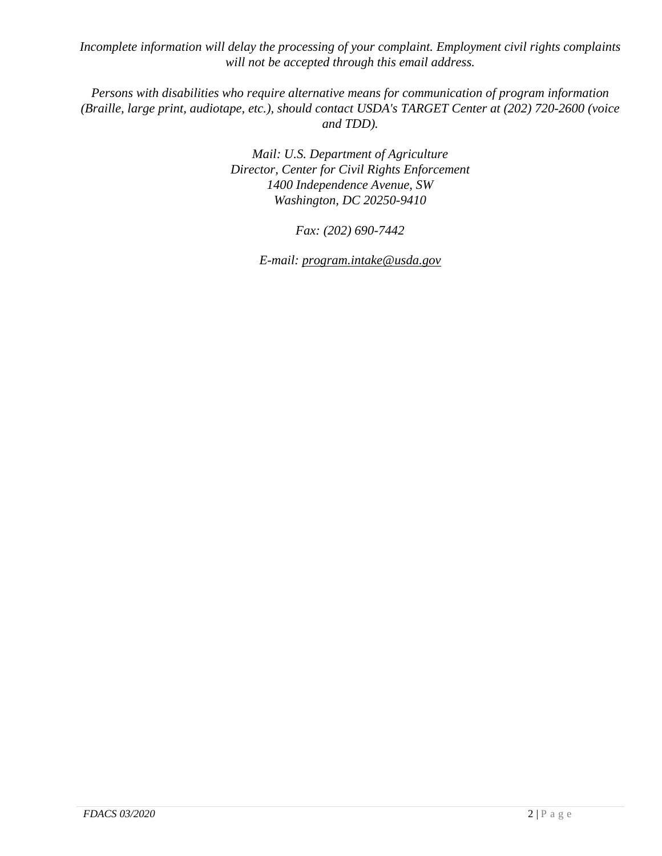*Incomplete information will delay the processing of your complaint. Employment civil rights complaints will not be accepted through this email address.*

*Persons with disabilities who require alternative means for communication of program information (Braille, large print, audiotape, etc.), should contact USDA's TARGET Center at (202) 720-2600 (voice and TDD).*

> *Mail: U.S. Department of Agriculture Director, Center for Civil Rights Enforcement 1400 Independence Avenue, SW Washington, DC 20250-9410*

> > *Fax: (202) 690-7442*

*E-mail: [program.intake@usda.gov](mailto:program.intake@usda.gov)*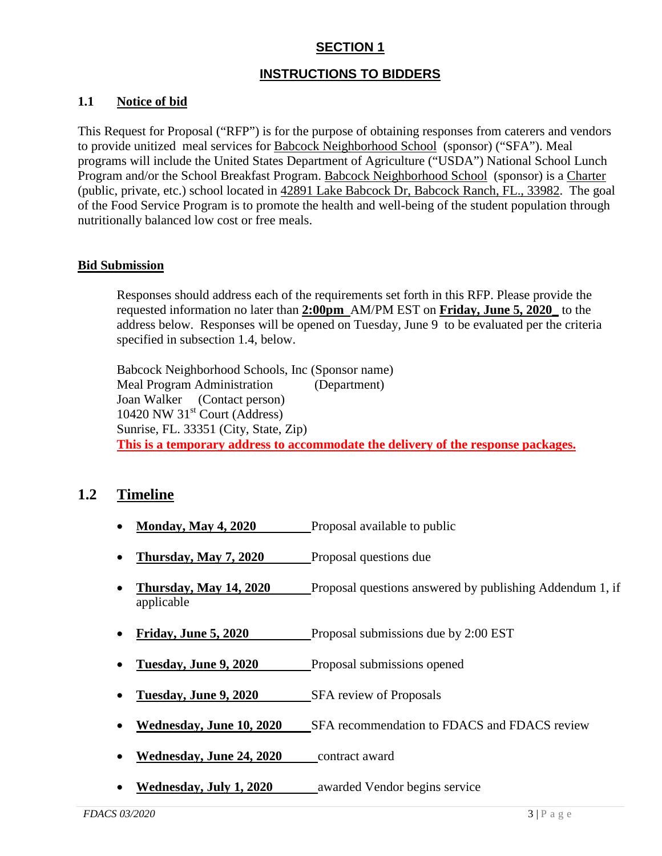#### **SECTION 1**

#### **INSTRUCTIONS TO BIDDERS**

#### **1.1 Notice of bid**

This Request for Proposal ("RFP") is for the purpose of obtaining responses from caterers and vendors to provide unitized meal services for Babcock Neighborhood School (sponsor) ("SFA"). Meal programs will include the United States Department of Agriculture ("USDA") National School Lunch Program and/or the School Breakfast Program. Babcock Neighborhood School (sponsor) is a Charter (public, private, etc.) school located in 42891 Lake Babcock Dr, Babcock Ranch, FL., 33982. The goal of the Food Service Program is to promote the health and well-being of the student population through nutritionally balanced low cost or free meals.

#### **Bid Submission**

Responses should address each of the requirements set forth in this RFP. Please provide the requested information no later than **2:00pm** AM/PM EST on **Friday, June 5, 2020\_** to the address below. Responses will be opened on Tuesday, June 9 to be evaluated per the criteria specified in subsection 1.4, below.

Babcock Neighborhood Schools, Inc (Sponsor name) Meal Program Administration (Department) Joan Walker (Contact person)  $10420$  NW  $31<sup>st</sup>$  Court (Address) Sunrise, FL. 33351 (City, State, Zip) **This is a temporary address to accommodate the delivery of the response packages.** 

#### **1.2 Timeline**

- **Monday, May 4, 2020** Proposal available to public
- **Thursday, May 7, 2020** Proposal questions due
- **Thursday, May 14, 2020** Proposal questions answered by publishing Addendum 1, if applicable
- **Friday, June 5, 2020** Proposal submissions due by 2:00 EST
- **Tuesday, June 9, 2020** Proposal submissions opened
- **Tuesday, June 9, 2020** SFA review of Proposals
- **Wednesday, June 10, 2020** SFA recommendation to FDACS and FDACS review
- **Wednesday, June 24, 2020** contract award
- **Wednesday, July 1, 2020** awarded Vendor begins service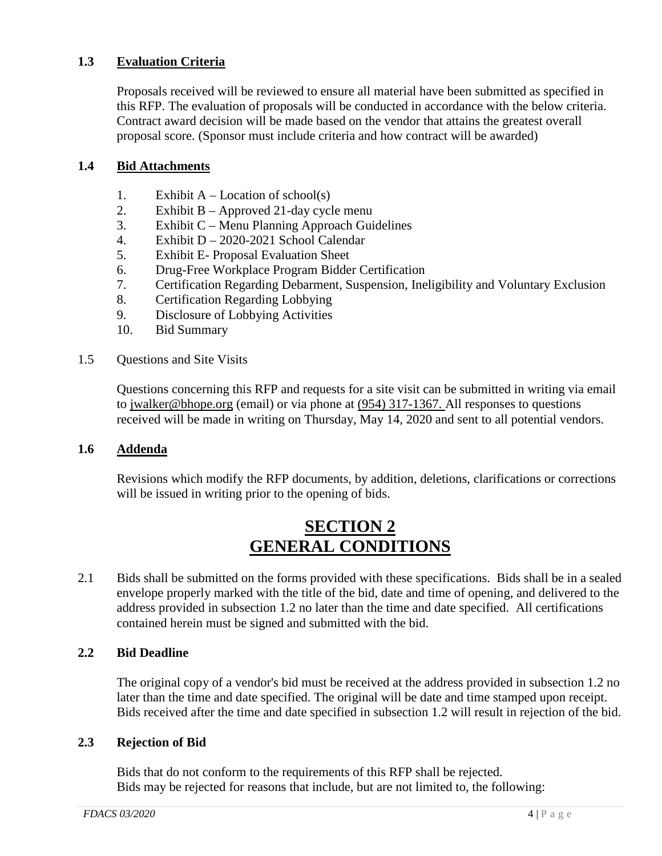#### **1.3 Evaluation Criteria**

Proposals received will be reviewed to ensure all material have been submitted as specified in this RFP. The evaluation of proposals will be conducted in accordance with the below criteria. Contract award decision will be made based on the vendor that attains the greatest overall proposal score. (Sponsor must include criteria and how contract will be awarded)

#### **1.4 Bid Attachments**

- 1. Exhibit  $A -$  Location of school(s)
- 2. Exhibit B Approved 21-day cycle menu
- 3. Exhibit C Menu Planning Approach Guidelines
- 4. Exhibit D 2020-2021 School Calendar
- 5. Exhibit E- Proposal Evaluation Sheet
- 6. Drug-Free Workplace Program Bidder Certification
- 7. Certification Regarding Debarment, Suspension, Ineligibility and Voluntary Exclusion
- 8. Certification Regarding Lobbying
- 9. Disclosure of Lobbying Activities
- 10. Bid Summary
- 1.5 Questions and Site Visits

Questions concerning this RFP and requests for a site visit can be submitted in writing via email to jwalker@bhope.org (email) or via phone at  $(954)$  317-1367. All responses to questions received will be made in writing on Thursday, May 14, 2020 and sent to all potential vendors.

#### **1.6 Addenda**

Revisions which modify the RFP documents, by addition, deletions, clarifications or corrections will be issued in writing prior to the opening of bids.

## **SECTION 2 GENERAL CONDITIONS**

2.1 Bids shall be submitted on the forms provided with these specifications. Bids shall be in a sealed envelope properly marked with the title of the bid, date and time of opening, and delivered to the address provided in subsection 1.2 no later than the time and date specified. All certifications contained herein must be signed and submitted with the bid.

#### **2.2 Bid Deadline**

The original copy of a vendor's bid must be received at the address provided in subsection 1.2 no later than the time and date specified. The original will be date and time stamped upon receipt. Bids received after the time and date specified in subsection 1.2 will result in rejection of the bid.

#### **2.3 Rejection of Bid**

Bids that do not conform to the requirements of this RFP shall be rejected. Bids may be rejected for reasons that include, but are not limited to, the following: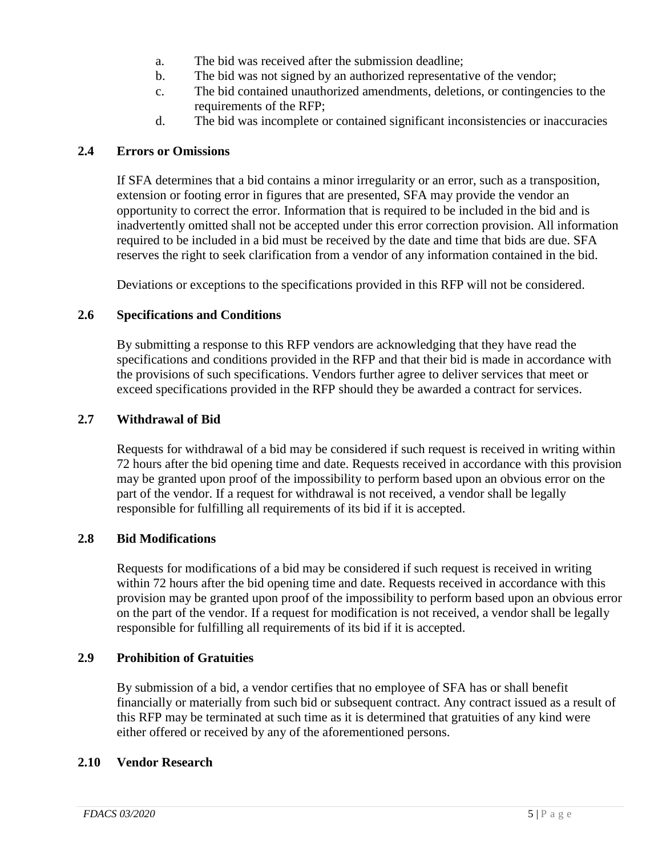- a. The bid was received after the submission deadline;
- b. The bid was not signed by an authorized representative of the vendor;
- c. The bid contained unauthorized amendments, deletions, or contingencies to the requirements of the RFP;
- d. The bid was incomplete or contained significant inconsistencies or inaccuracies

#### **2.4 Errors or Omissions**

If SFA determines that a bid contains a minor irregularity or an error, such as a transposition, extension or footing error in figures that are presented, SFA may provide the vendor an opportunity to correct the error. Information that is required to be included in the bid and is inadvertently omitted shall not be accepted under this error correction provision. All information required to be included in a bid must be received by the date and time that bids are due. SFA reserves the right to seek clarification from a vendor of any information contained in the bid.

Deviations or exceptions to the specifications provided in this RFP will not be considered.

#### **2.6 Specifications and Conditions**

By submitting a response to this RFP vendors are acknowledging that they have read the specifications and conditions provided in the RFP and that their bid is made in accordance with the provisions of such specifications. Vendors further agree to deliver services that meet or exceed specifications provided in the RFP should they be awarded a contract for services.

#### **2.7 Withdrawal of Bid**

Requests for withdrawal of a bid may be considered if such request is received in writing within 72 hours after the bid opening time and date. Requests received in accordance with this provision may be granted upon proof of the impossibility to perform based upon an obvious error on the part of the vendor. If a request for withdrawal is not received, a vendor shall be legally responsible for fulfilling all requirements of its bid if it is accepted.

#### **2.8 Bid Modifications**

Requests for modifications of a bid may be considered if such request is received in writing within 72 hours after the bid opening time and date. Requests received in accordance with this provision may be granted upon proof of the impossibility to perform based upon an obvious error on the part of the vendor. If a request for modification is not received, a vendor shall be legally responsible for fulfilling all requirements of its bid if it is accepted.

#### **2.9 Prohibition of Gratuities**

By submission of a bid, a vendor certifies that no employee of SFA has or shall benefit financially or materially from such bid or subsequent contract. Any contract issued as a result of this RFP may be terminated at such time as it is determined that gratuities of any kind were either offered or received by any of the aforementioned persons.

#### **2.10 Vendor Research**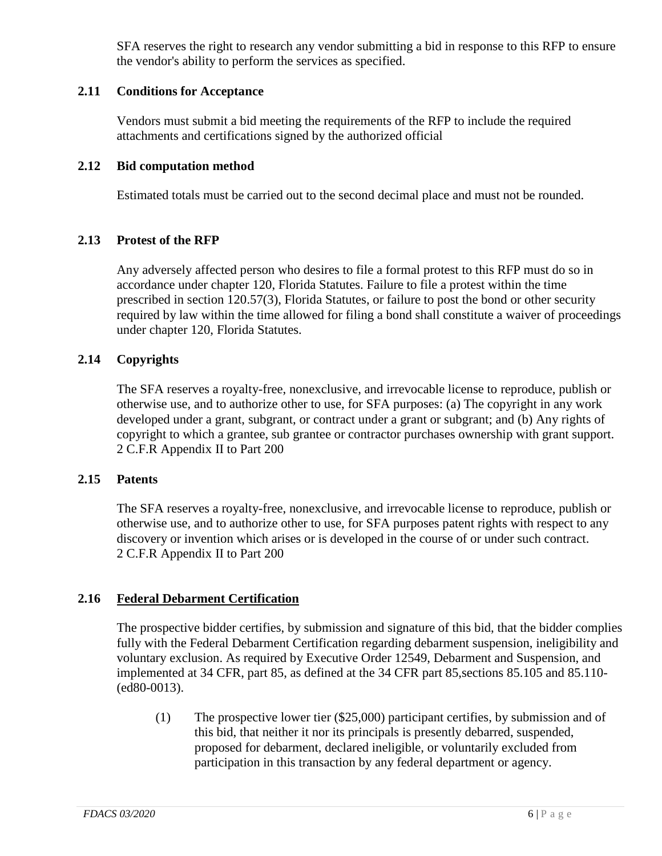SFA reserves the right to research any vendor submitting a bid in response to this RFP to ensure the vendor's ability to perform the services as specified.

#### **2.11 Conditions for Acceptance**

Vendors must submit a bid meeting the requirements of the RFP to include the required attachments and certifications signed by the authorized official

#### **2.12 Bid computation method**

Estimated totals must be carried out to the second decimal place and must not be rounded.

#### **2.13 Protest of the RFP**

Any adversely affected person who desires to file a formal protest to this RFP must do so in accordance under chapter 120, Florida Statutes. Failure to file a protest within the time prescribed in section 120.57(3), Florida Statutes, or failure to post the bond or other security required by law within the time allowed for filing a bond shall constitute a waiver of proceedings under chapter 120, Florida Statutes.

#### **2.14 Copyrights**

The SFA reserves a royalty-free, nonexclusive, and irrevocable license to reproduce, publish or otherwise use, and to authorize other to use, for SFA purposes: (a) The copyright in any work developed under a grant, subgrant, or contract under a grant or subgrant; and (b) Any rights of copyright to which a grantee, sub grantee or contractor purchases ownership with grant support. 2 C.F.R Appendix II to Part 200

#### **2.15 Patents**

The SFA reserves a royalty-free, nonexclusive, and irrevocable license to reproduce, publish or otherwise use, and to authorize other to use, for SFA purposes patent rights with respect to any discovery or invention which arises or is developed in the course of or under such contract. 2 C.F.R Appendix II to Part 200

#### **2.16 Federal Debarment Certification**

The prospective bidder certifies, by submission and signature of this bid, that the bidder complies fully with the Federal Debarment Certification regarding debarment suspension, ineligibility and voluntary exclusion. As required by Executive Order 12549, Debarment and Suspension, and implemented at 34 CFR, part 85, as defined at the 34 CFR part 85,sections 85.105 and 85.110- (ed80-0013).

(1) The prospective lower tier (\$25,000) participant certifies, by submission and of this bid, that neither it nor its principals is presently debarred, suspended, proposed for debarment, declared ineligible, or voluntarily excluded from participation in this transaction by any federal department or agency.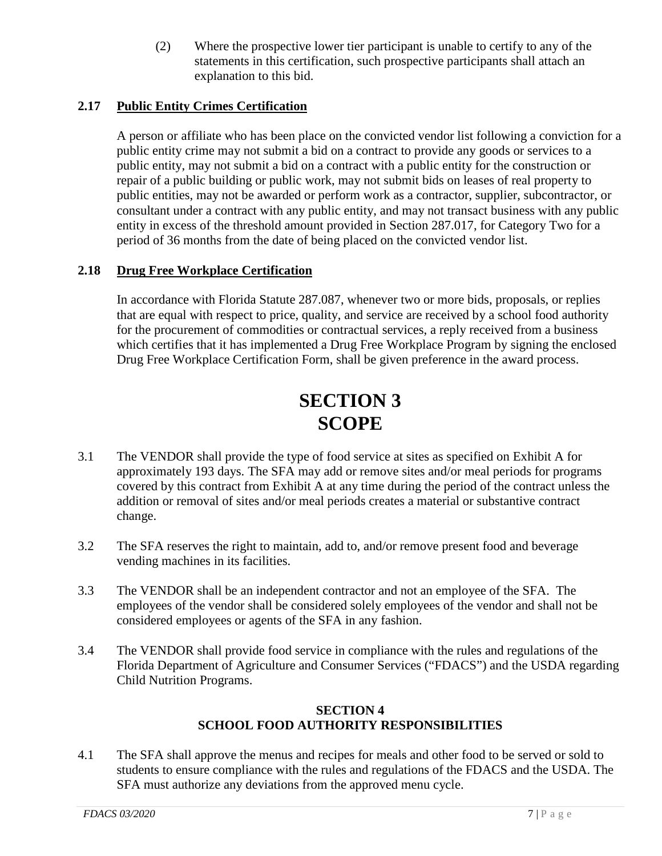(2) Where the prospective lower tier participant is unable to certify to any of the statements in this certification, such prospective participants shall attach an explanation to this bid.

#### **2.17 Public Entity Crimes Certification**

A person or affiliate who has been place on the convicted vendor list following a conviction for a public entity crime may not submit a bid on a contract to provide any goods or services to a public entity, may not submit a bid on a contract with a public entity for the construction or repair of a public building or public work, may not submit bids on leases of real property to public entities, may not be awarded or perform work as a contractor, supplier, subcontractor, or consultant under a contract with any public entity, and may not transact business with any public entity in excess of the threshold amount provided in Section 287.017, for Category Two for a period of 36 months from the date of being placed on the convicted vendor list.

#### **2.18 Drug Free Workplace Certification**

In accordance with Florida Statute 287.087, whenever two or more bids, proposals, or replies that are equal with respect to price, quality, and service are received by a school food authority for the procurement of commodities or contractual services, a reply received from a business which certifies that it has implemented a Drug Free Workplace Program by signing the enclosed Drug Free Workplace Certification Form, shall be given preference in the award process.

## **SECTION 3 SCOPE**

- 3.1 The VENDOR shall provide the type of food service at sites as specified on Exhibit A for approximately 193 days. The SFA may add or remove sites and/or meal periods for programs covered by this contract from Exhibit A at any time during the period of the contract unless the addition or removal of sites and/or meal periods creates a material or substantive contract change.
- 3.2 The SFA reserves the right to maintain, add to, and/or remove present food and beverage vending machines in its facilities.
- 3.3 The VENDOR shall be an independent contractor and not an employee of the SFA. The employees of the vendor shall be considered solely employees of the vendor and shall not be considered employees or agents of the SFA in any fashion.
- 3.4 The VENDOR shall provide food service in compliance with the rules and regulations of the Florida Department of Agriculture and Consumer Services ("FDACS") and the USDA regarding Child Nutrition Programs.

#### **SECTION 4 SCHOOL FOOD AUTHORITY RESPONSIBILITIES**

4.1 The SFA shall approve the menus and recipes for meals and other food to be served or sold to students to ensure compliance with the rules and regulations of the FDACS and the USDA. The SFA must authorize any deviations from the approved menu cycle.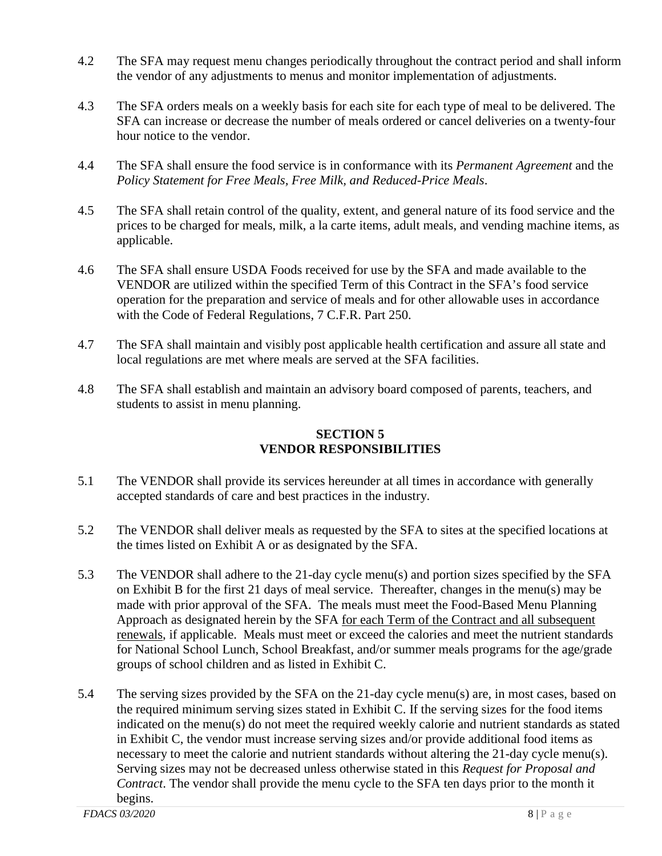- 4.2 The SFA may request menu changes periodically throughout the contract period and shall inform the vendor of any adjustments to menus and monitor implementation of adjustments.
- 4.3 The SFA orders meals on a weekly basis for each site for each type of meal to be delivered. The SFA can increase or decrease the number of meals ordered or cancel deliveries on a twenty-four hour notice to the vendor.
- 4.4 The SFA shall ensure the food service is in conformance with its *Permanent Agreement* and the *Policy Statement for Free Meals, Free Milk, and Reduced-Price Meals*.
- 4.5 The SFA shall retain control of the quality, extent, and general nature of its food service and the prices to be charged for meals, milk, a la carte items, adult meals, and vending machine items, as applicable.
- 4.6 The SFA shall ensure USDA Foods received for use by the SFA and made available to the VENDOR are utilized within the specified Term of this Contract in the SFA's food service operation for the preparation and service of meals and for other allowable uses in accordance with the Code of Federal Regulations, 7 C.F.R. Part 250.
- 4.7 The SFA shall maintain and visibly post applicable health certification and assure all state and local regulations are met where meals are served at the SFA facilities.
- 4.8 The SFA shall establish and maintain an advisory board composed of parents, teachers, and students to assist in menu planning.

#### **SECTION 5 VENDOR RESPONSIBILITIES**

- 5.1 The VENDOR shall provide its services hereunder at all times in accordance with generally accepted standards of care and best practices in the industry.
- 5.2 The VENDOR shall deliver meals as requested by the SFA to sites at the specified locations at the times listed on Exhibit A or as designated by the SFA.
- 5.3 The VENDOR shall adhere to the 21-day cycle menu(s) and portion sizes specified by the SFA on Exhibit B for the first 21 days of meal service. Thereafter, changes in the menu(s) may be made with prior approval of the SFA. The meals must meet the Food-Based Menu Planning Approach as designated herein by the SFA for each Term of the Contract and all subsequent renewals, if applicable. Meals must meet or exceed the calories and meet the nutrient standards for National School Lunch, School Breakfast, and/or summer meals programs for the age/grade groups of school children and as listed in Exhibit C.
- 5.4 The serving sizes provided by the SFA on the 21-day cycle menu(s) are, in most cases, based on the required minimum serving sizes stated in Exhibit C. If the serving sizes for the food items indicated on the menu(s) do not meet the required weekly calorie and nutrient standards as stated in Exhibit C, the vendor must increase serving sizes and/or provide additional food items as necessary to meet the calorie and nutrient standards without altering the 21-day cycle menu(s). Serving sizes may not be decreased unless otherwise stated in this *Request for Proposal and Contract*. The vendor shall provide the menu cycle to the SFA ten days prior to the month it begins.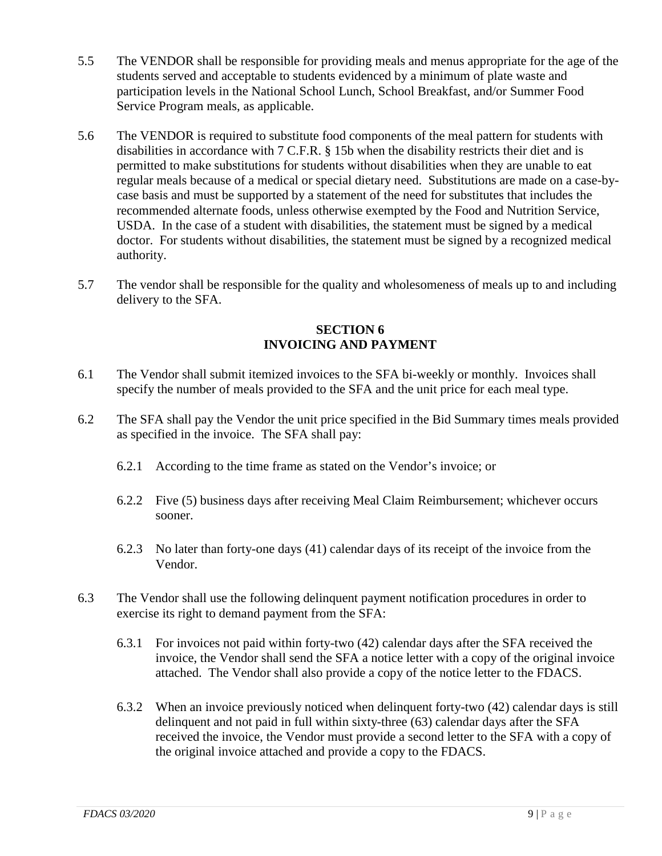- 5.5 The VENDOR shall be responsible for providing meals and menus appropriate for the age of the students served and acceptable to students evidenced by a minimum of plate waste and participation levels in the National School Lunch, School Breakfast, and/or Summer Food Service Program meals, as applicable.
- 5.6 The VENDOR is required to substitute food components of the meal pattern for students with disabilities in accordance with 7 C.F.R. § 15b when the disability restricts their diet and is permitted to make substitutions for students without disabilities when they are unable to eat regular meals because of a medical or special dietary need. Substitutions are made on a case-bycase basis and must be supported by a statement of the need for substitutes that includes the recommended alternate foods, unless otherwise exempted by the Food and Nutrition Service, USDA. In the case of a student with disabilities, the statement must be signed by a medical doctor. For students without disabilities, the statement must be signed by a recognized medical authority.
- 5.7 The vendor shall be responsible for the quality and wholesomeness of meals up to and including delivery to the SFA.

#### **SECTION 6 INVOICING AND PAYMENT**

- 6.1 The Vendor shall submit itemized invoices to the SFA bi-weekly or monthly. Invoices shall specify the number of meals provided to the SFA and the unit price for each meal type.
- 6.2 The SFA shall pay the Vendor the unit price specified in the Bid Summary times meals provided as specified in the invoice. The SFA shall pay:
	- 6.2.1 According to the time frame as stated on the Vendor's invoice; or
	- 6.2.2 Five (5) business days after receiving Meal Claim Reimbursement; whichever occurs sooner.
	- 6.2.3 No later than forty-one days (41) calendar days of its receipt of the invoice from the Vendor.
- 6.3 The Vendor shall use the following delinquent payment notification procedures in order to exercise its right to demand payment from the SFA:
	- 6.3.1 For invoices not paid within forty-two (42) calendar days after the SFA received the invoice, the Vendor shall send the SFA a notice letter with a copy of the original invoice attached. The Vendor shall also provide a copy of the notice letter to the FDACS.
	- 6.3.2 When an invoice previously noticed when delinquent forty-two (42) calendar days is still delinquent and not paid in full within sixty-three (63) calendar days after the SFA received the invoice, the Vendor must provide a second letter to the SFA with a copy of the original invoice attached and provide a copy to the FDACS.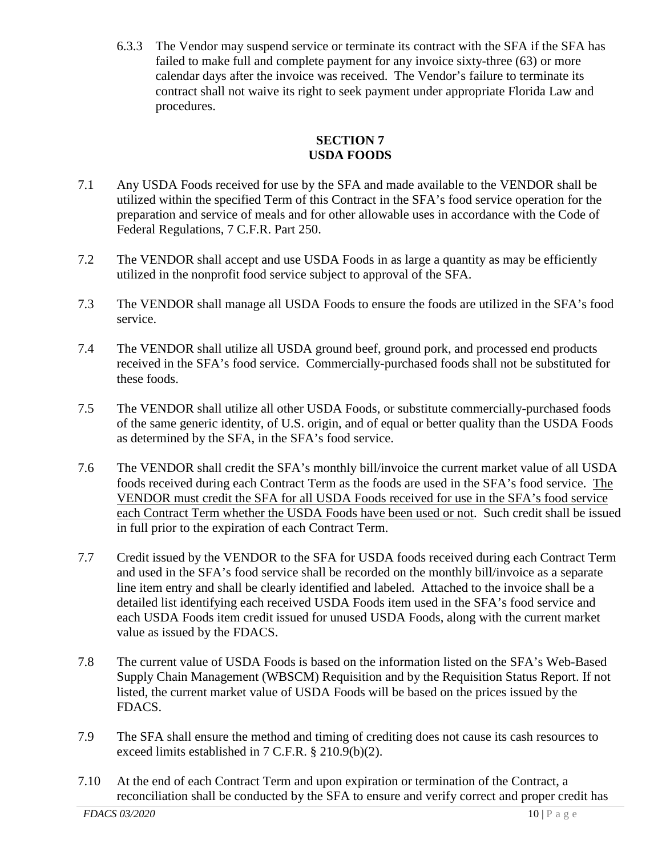6.3.3 The Vendor may suspend service or terminate its contract with the SFA if the SFA has failed to make full and complete payment for any invoice sixty-three (63) or more calendar days after the invoice was received. The Vendor's failure to terminate its contract shall not waive its right to seek payment under appropriate Florida Law and procedures.

#### **SECTION 7 USDA FOODS**

- 7.1 Any USDA Foods received for use by the SFA and made available to the VENDOR shall be utilized within the specified Term of this Contract in the SFA's food service operation for the preparation and service of meals and for other allowable uses in accordance with the Code of Federal Regulations, 7 C.F.R. Part 250.
- 7.2 The VENDOR shall accept and use USDA Foods in as large a quantity as may be efficiently utilized in the nonprofit food service subject to approval of the SFA.
- 7.3 The VENDOR shall manage all USDA Foods to ensure the foods are utilized in the SFA's food service.
- 7.4 The VENDOR shall utilize all USDA ground beef, ground pork, and processed end products received in the SFA's food service. Commercially-purchased foods shall not be substituted for these foods.
- 7.5 The VENDOR shall utilize all other USDA Foods, or substitute commercially-purchased foods of the same generic identity, of U.S. origin, and of equal or better quality than the USDA Foods as determined by the SFA, in the SFA's food service.
- 7.6 The VENDOR shall credit the SFA's monthly bill/invoice the current market value of all USDA foods received during each Contract Term as the foods are used in the SFA's food service. The VENDOR must credit the SFA for all USDA Foods received for use in the SFA's food service each Contract Term whether the USDA Foods have been used or not. Such credit shall be issued in full prior to the expiration of each Contract Term.
- 7.7 Credit issued by the VENDOR to the SFA for USDA foods received during each Contract Term and used in the SFA's food service shall be recorded on the monthly bill/invoice as a separate line item entry and shall be clearly identified and labeled. Attached to the invoice shall be a detailed list identifying each received USDA Foods item used in the SFA's food service and each USDA Foods item credit issued for unused USDA Foods, along with the current market value as issued by the FDACS.
- 7.8 The current value of USDA Foods is based on the information listed on the SFA's Web-Based Supply Chain Management (WBSCM) Requisition and by the Requisition Status Report. If not listed, the current market value of USDA Foods will be based on the prices issued by the FDACS.
- 7.9 The SFA shall ensure the method and timing of crediting does not cause its cash resources to exceed limits established in 7 C.F.R. § 210.9(b)(2).
- 7.10 At the end of each Contract Term and upon expiration or termination of the Contract, a reconciliation shall be conducted by the SFA to ensure and verify correct and proper credit has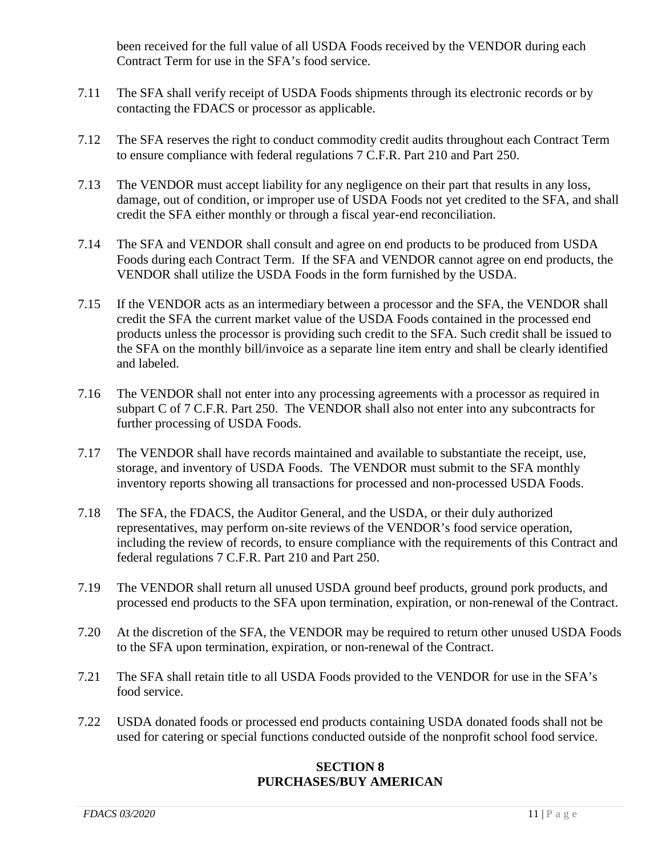been received for the full value of all USDA Foods received by the VENDOR during each Contract Term for use in the SFA's food service.

- 7.11 The SFA shall verify receipt of USDA Foods shipments through its electronic records or by contacting the FDACS or processor as applicable.
- 7.12 The SFA reserves the right to conduct commodity credit audits throughout each Contract Term to ensure compliance with federal regulations 7 C.F.R. Part 210 and Part 250.
- 7.13 The VENDOR must accept liability for any negligence on their part that results in any loss, damage, out of condition, or improper use of USDA Foods not yet credited to the SFA, and shall credit the SFA either monthly or through a fiscal year-end reconciliation.
- 7.14 The SFA and VENDOR shall consult and agree on end products to be produced from USDA Foods during each Contract Term. If the SFA and VENDOR cannot agree on end products, the VENDOR shall utilize the USDA Foods in the form furnished by the USDA.
- 7.15 If the VENDOR acts as an intermediary between a processor and the SFA, the VENDOR shall credit the SFA the current market value of the USDA Foods contained in the processed end products unless the processor is providing such credit to the SFA. Such credit shall be issued to the SFA on the monthly bill/invoice as a separate line item entry and shall be clearly identified and labeled.
- 7.16 The VENDOR shall not enter into any processing agreements with a processor as required in subpart C of 7 C.F.R. Part 250. The VENDOR shall also not enter into any subcontracts for further processing of USDA Foods.
- 7.17 The VENDOR shall have records maintained and available to substantiate the receipt, use, storage, and inventory of USDA Foods. The VENDOR must submit to the SFA monthly inventory reports showing all transactions for processed and non-processed USDA Foods.
- 7.18 The SFA, the FDACS, the Auditor General, and the USDA, or their duly authorized representatives, may perform on-site reviews of the VENDOR's food service operation, including the review of records, to ensure compliance with the requirements of this Contract and federal regulations 7 C.F.R. Part 210 and Part 250.
- 7.19 The VENDOR shall return all unused USDA ground beef products, ground pork products, and processed end products to the SFA upon termination, expiration, or non-renewal of the Contract.
- 7.20 At the discretion of the SFA, the VENDOR may be required to return other unused USDA Foods to the SFA upon termination, expiration, or non-renewal of the Contract.
- 7.21 The SFA shall retain title to all USDA Foods provided to the VENDOR for use in the SFA's food service.
- 7.22 USDA donated foods or processed end products containing USDA donated foods shall not be used for catering or special functions conducted outside of the nonprofit school food service.

#### **SECTION 8 PURCHASES/BUY AMERICAN**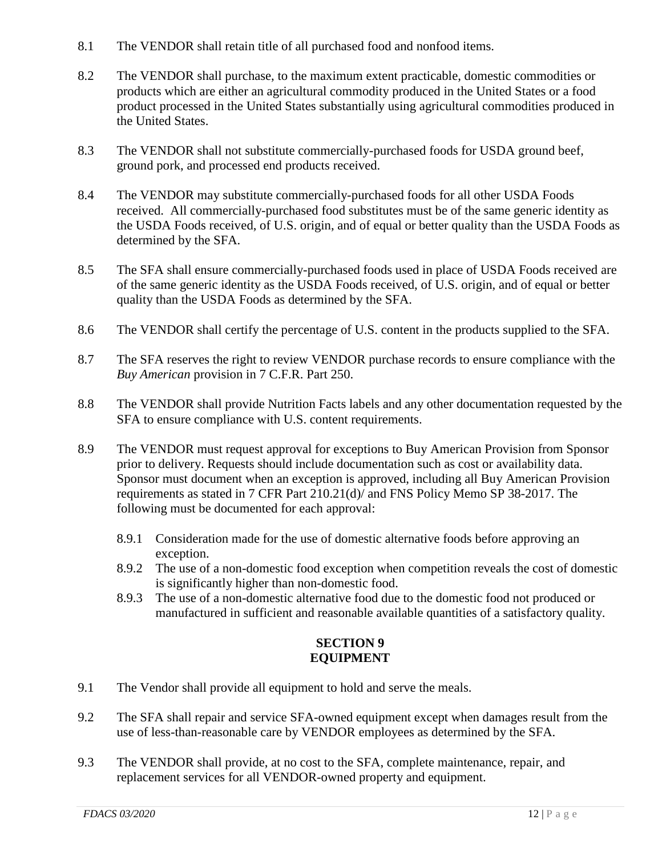- 8.1 The VENDOR shall retain title of all purchased food and nonfood items.
- 8.2 The VENDOR shall purchase, to the maximum extent practicable, domestic commodities or products which are either an agricultural commodity produced in the United States or a food product processed in the United States substantially using agricultural commodities produced in the United States.
- 8.3 The VENDOR shall not substitute commercially-purchased foods for USDA ground beef, ground pork, and processed end products received.
- 8.4 The VENDOR may substitute commercially-purchased foods for all other USDA Foods received. All commercially-purchased food substitutes must be of the same generic identity as the USDA Foods received, of U.S. origin, and of equal or better quality than the USDA Foods as determined by the SFA.
- 8.5 The SFA shall ensure commercially-purchased foods used in place of USDA Foods received are of the same generic identity as the USDA Foods received, of U.S. origin, and of equal or better quality than the USDA Foods as determined by the SFA.
- 8.6 The VENDOR shall certify the percentage of U.S. content in the products supplied to the SFA.
- 8.7 The SFA reserves the right to review VENDOR purchase records to ensure compliance with the *Buy American* provision in 7 C.F.R. Part 250.
- 8.8 The VENDOR shall provide Nutrition Facts labels and any other documentation requested by the SFA to ensure compliance with U.S. content requirements.
- 8.9 The VENDOR must request approval for exceptions to Buy American Provision from Sponsor prior to delivery. Requests should include documentation such as cost or availability data. Sponsor must document when an exception is approved, including all Buy American Provision requirements as stated in 7 CFR Part 210.21(d)/ and FNS Policy Memo SP 38-2017. The following must be documented for each approval:
	- 8.9.1 Consideration made for the use of domestic alternative foods before approving an exception.
	- 8.9.2 The use of a non-domestic food exception when competition reveals the cost of domestic is significantly higher than non-domestic food.
	- 8.9.3 The use of a non-domestic alternative food due to the domestic food not produced or manufactured in sufficient and reasonable available quantities of a satisfactory quality.

#### **SECTION 9 EQUIPMENT**

- 9.1 The Vendor shall provide all equipment to hold and serve the meals.
- 9.2 The SFA shall repair and service SFA-owned equipment except when damages result from the use of less-than-reasonable care by VENDOR employees as determined by the SFA.
- 9.3 The VENDOR shall provide, at no cost to the SFA, complete maintenance, repair, and replacement services for all VENDOR-owned property and equipment.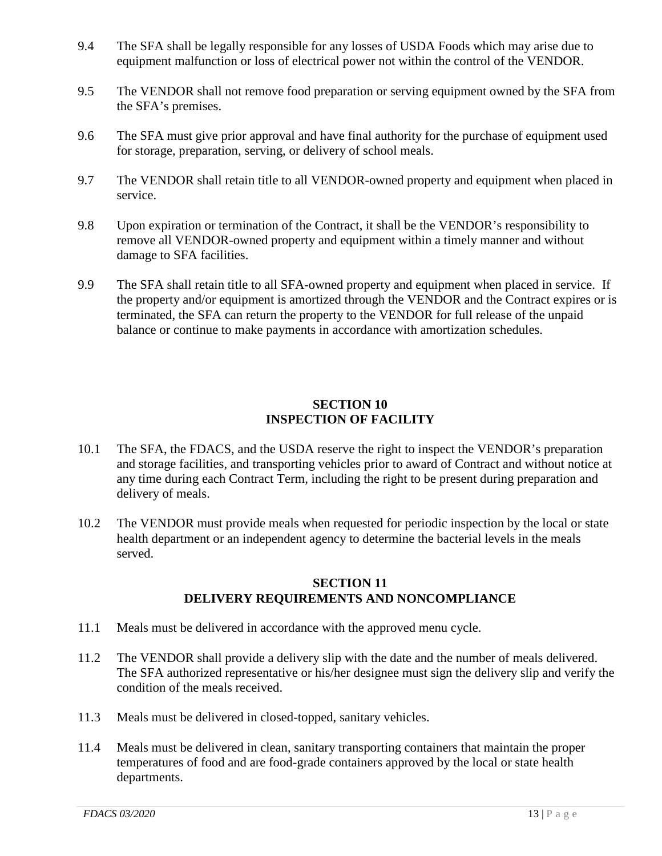- 9.4 The SFA shall be legally responsible for any losses of USDA Foods which may arise due to equipment malfunction or loss of electrical power not within the control of the VENDOR.
- 9.5 The VENDOR shall not remove food preparation or serving equipment owned by the SFA from the SFA's premises.
- 9.6 The SFA must give prior approval and have final authority for the purchase of equipment used for storage, preparation, serving, or delivery of school meals.
- 9.7 The VENDOR shall retain title to all VENDOR-owned property and equipment when placed in service.
- 9.8 Upon expiration or termination of the Contract, it shall be the VENDOR's responsibility to remove all VENDOR-owned property and equipment within a timely manner and without damage to SFA facilities.
- 9.9 The SFA shall retain title to all SFA-owned property and equipment when placed in service. If the property and/or equipment is amortized through the VENDOR and the Contract expires or is terminated, the SFA can return the property to the VENDOR for full release of the unpaid balance or continue to make payments in accordance with amortization schedules.

#### **SECTION 10 INSPECTION OF FACILITY**

- 10.1 The SFA, the FDACS, and the USDA reserve the right to inspect the VENDOR's preparation and storage facilities, and transporting vehicles prior to award of Contract and without notice at any time during each Contract Term, including the right to be present during preparation and delivery of meals.
- 10.2 The VENDOR must provide meals when requested for periodic inspection by the local or state health department or an independent agency to determine the bacterial levels in the meals served.

#### **SECTION 11 DELIVERY REQUIREMENTS AND NONCOMPLIANCE**

- 11.1 Meals must be delivered in accordance with the approved menu cycle.
- 11.2 The VENDOR shall provide a delivery slip with the date and the number of meals delivered. The SFA authorized representative or his/her designee must sign the delivery slip and verify the condition of the meals received.
- 11.3 Meals must be delivered in closed-topped, sanitary vehicles.
- 11.4 Meals must be delivered in clean, sanitary transporting containers that maintain the proper temperatures of food and are food-grade containers approved by the local or state health departments.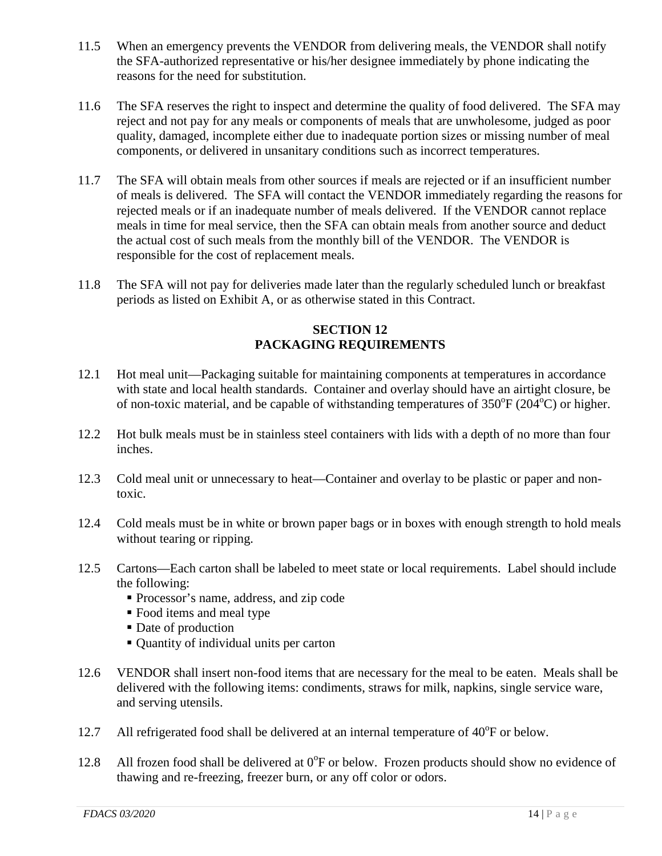- 11.5 When an emergency prevents the VENDOR from delivering meals, the VENDOR shall notify the SFA-authorized representative or his/her designee immediately by phone indicating the reasons for the need for substitution.
- 11.6 The SFA reserves the right to inspect and determine the quality of food delivered. The SFA may reject and not pay for any meals or components of meals that are unwholesome, judged as poor quality, damaged, incomplete either due to inadequate portion sizes or missing number of meal components, or delivered in unsanitary conditions such as incorrect temperatures.
- 11.7 The SFA will obtain meals from other sources if meals are rejected or if an insufficient number of meals is delivered. The SFA will contact the VENDOR immediately regarding the reasons for rejected meals or if an inadequate number of meals delivered. If the VENDOR cannot replace meals in time for meal service, then the SFA can obtain meals from another source and deduct the actual cost of such meals from the monthly bill of the VENDOR. The VENDOR is responsible for the cost of replacement meals.
- 11.8 The SFA will not pay for deliveries made later than the regularly scheduled lunch or breakfast periods as listed on Exhibit A, or as otherwise stated in this Contract.

#### **SECTION 12 PACKAGING REQUIREMENTS**

- 12.1 Hot meal unit—Packaging suitable for maintaining components at temperatures in accordance with state and local health standards. Container and overlay should have an airtight closure, be of non-toxic material, and be capable of withstanding temperatures of  $350^{\circ}F(204^{\circ}C)$  or higher.
- 12.2 Hot bulk meals must be in stainless steel containers with lids with a depth of no more than four inches.
- 12.3 Cold meal unit or unnecessary to heat—Container and overlay to be plastic or paper and nontoxic.
- 12.4 Cold meals must be in white or brown paper bags or in boxes with enough strength to hold meals without tearing or ripping.
- 12.5 Cartons—Each carton shall be labeled to meet state or local requirements. Label should include the following:
	- Processor's name, address, and zip code
	- Food items and meal type
	- Date of production
	- Quantity of individual units per carton
- 12.6 VENDOR shall insert non-food items that are necessary for the meal to be eaten. Meals shall be delivered with the following items: condiments, straws for milk, napkins, single service ware, and serving utensils.
- 12.7 All refrigerated food shall be delivered at an internal temperature of  $40^{\circ}$ F or below.
- 12.8 All frozen food shall be delivered at 0°F or below. Frozen products should show no evidence of thawing and re-freezing, freezer burn, or any off color or odors.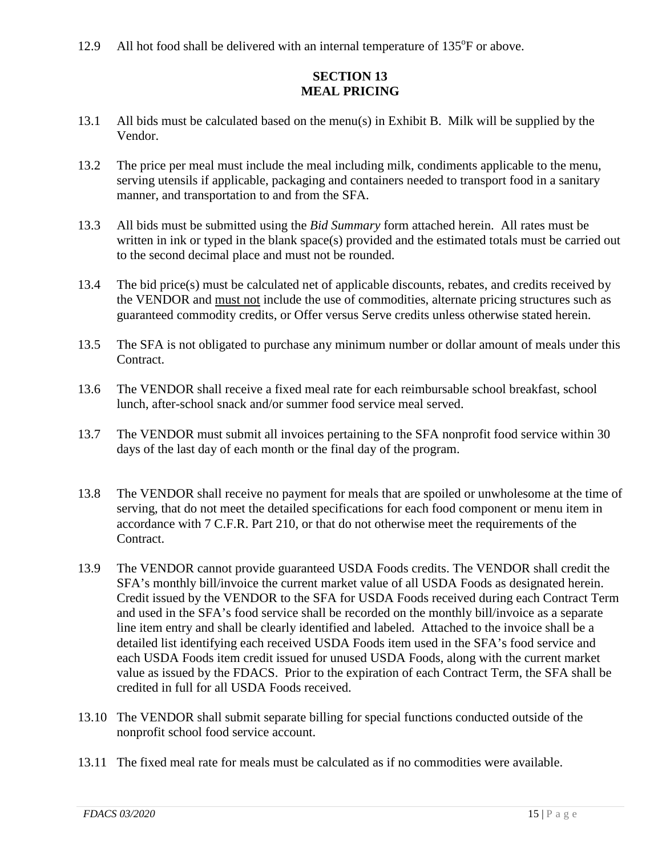12.9 All hot food shall be delivered with an internal temperature of 135°F or above.

#### **SECTION 13 MEAL PRICING**

- 13.1 All bids must be calculated based on the menu(s) in Exhibit B. Milk will be supplied by the Vendor.
- 13.2 The price per meal must include the meal including milk, condiments applicable to the menu, serving utensils if applicable, packaging and containers needed to transport food in a sanitary manner, and transportation to and from the SFA.
- 13.3 All bids must be submitted using the *Bid Summary* form attached herein. All rates must be written in ink or typed in the blank space(s) provided and the estimated totals must be carried out to the second decimal place and must not be rounded.
- 13.4 The bid price(s) must be calculated net of applicable discounts, rebates, and credits received by the VENDOR and must not include the use of commodities, alternate pricing structures such as guaranteed commodity credits, or Offer versus Serve credits unless otherwise stated herein.
- 13.5 The SFA is not obligated to purchase any minimum number or dollar amount of meals under this Contract.
- 13.6 The VENDOR shall receive a fixed meal rate for each reimbursable school breakfast, school lunch, after-school snack and/or summer food service meal served.
- 13.7 The VENDOR must submit all invoices pertaining to the SFA nonprofit food service within 30 days of the last day of each month or the final day of the program.
- 13.8 The VENDOR shall receive no payment for meals that are spoiled or unwholesome at the time of serving, that do not meet the detailed specifications for each food component or menu item in accordance with 7 C.F.R. Part 210, or that do not otherwise meet the requirements of the Contract.
- 13.9 The VENDOR cannot provide guaranteed USDA Foods credits. The VENDOR shall credit the SFA's monthly bill/invoice the current market value of all USDA Foods as designated herein. Credit issued by the VENDOR to the SFA for USDA Foods received during each Contract Term and used in the SFA's food service shall be recorded on the monthly bill/invoice as a separate line item entry and shall be clearly identified and labeled. Attached to the invoice shall be a detailed list identifying each received USDA Foods item used in the SFA's food service and each USDA Foods item credit issued for unused USDA Foods, along with the current market value as issued by the FDACS. Prior to the expiration of each Contract Term, the SFA shall be credited in full for all USDA Foods received.
- 13.10 The VENDOR shall submit separate billing for special functions conducted outside of the nonprofit school food service account.
- 13.11 The fixed meal rate for meals must be calculated as if no commodities were available.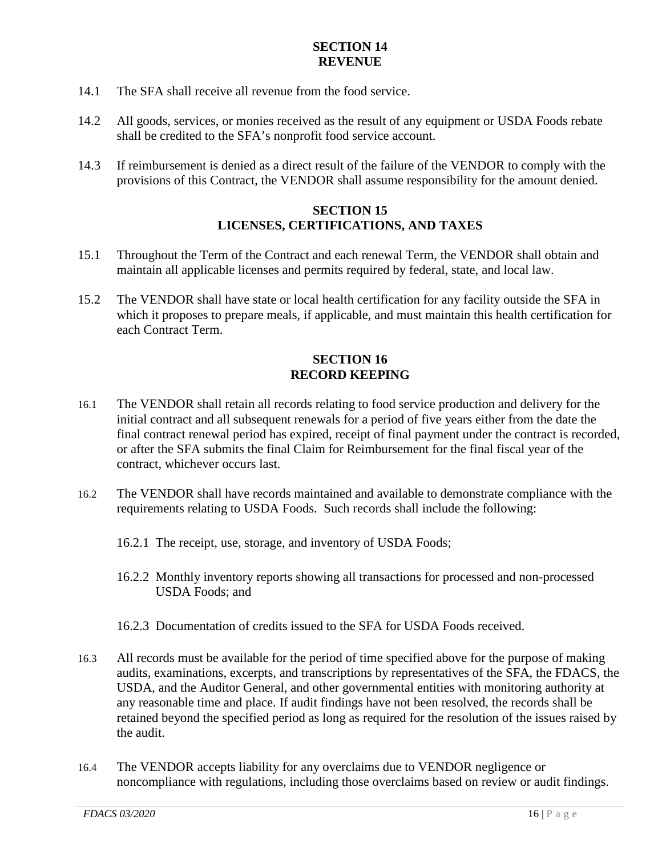#### **SECTION 14 REVENUE**

- 14.1 The SFA shall receive all revenue from the food service.
- 14.2 All goods, services, or monies received as the result of any equipment or USDA Foods rebate shall be credited to the SFA's nonprofit food service account.
- 14.3 If reimbursement is denied as a direct result of the failure of the VENDOR to comply with the provisions of this Contract, the VENDOR shall assume responsibility for the amount denied.

#### **SECTION 15 LICENSES, CERTIFICATIONS, AND TAXES**

- 15.1 Throughout the Term of the Contract and each renewal Term, the VENDOR shall obtain and maintain all applicable licenses and permits required by federal, state, and local law.
- 15.2 The VENDOR shall have state or local health certification for any facility outside the SFA in which it proposes to prepare meals, if applicable, and must maintain this health certification for each Contract Term.

#### **SECTION 16 RECORD KEEPING**

- 16.1 The VENDOR shall retain all records relating to food service production and delivery for the initial contract and all subsequent renewals for a period of five years either from the date the final contract renewal period has expired, receipt of final payment under the contract is recorded, or after the SFA submits the final Claim for Reimbursement for the final fiscal year of the contract, whichever occurs last.
- 16.2 The VENDOR shall have records maintained and available to demonstrate compliance with the requirements relating to USDA Foods. Such records shall include the following:
	- 16.2.1 The receipt, use, storage, and inventory of USDA Foods;
	- 16.2.2 Monthly inventory reports showing all transactions for processed and non-processed USDA Foods; and
	- 16.2.3 Documentation of credits issued to the SFA for USDA Foods received.
- 16.3 All records must be available for the period of time specified above for the purpose of making audits, examinations, excerpts, and transcriptions by representatives of the SFA, the FDACS, the USDA, and the Auditor General, and other governmental entities with monitoring authority at any reasonable time and place. If audit findings have not been resolved, the records shall be retained beyond the specified period as long as required for the resolution of the issues raised by the audit.
- 16.4 The VENDOR accepts liability for any overclaims due to VENDOR negligence or noncompliance with regulations, including those overclaims based on review or audit findings.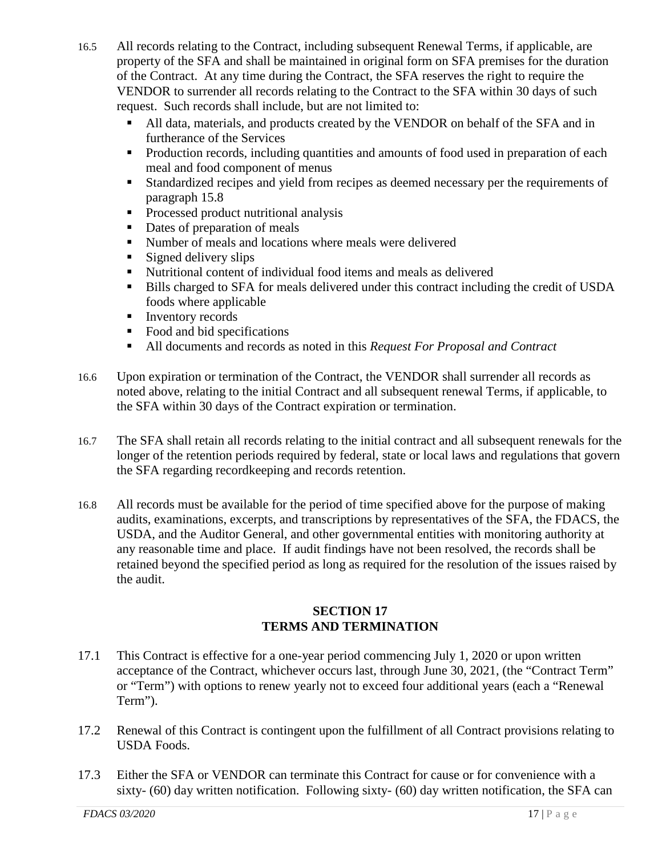- 16.5 All records relating to the Contract, including subsequent Renewal Terms, if applicable, are property of the SFA and shall be maintained in original form on SFA premises for the duration of the Contract. At any time during the Contract, the SFA reserves the right to require the VENDOR to surrender all records relating to the Contract to the SFA within 30 days of such request. Such records shall include, but are not limited to:
	- All data, materials, and products created by the VENDOR on behalf of the SFA and in furtherance of the Services
	- Production records, including quantities and amounts of food used in preparation of each meal and food component of menus
	- Standardized recipes and yield from recipes as deemed necessary per the requirements of paragraph 15.8
	- **Processed product nutritional analysis**
	- Dates of preparation of meals
	- Number of meals and locations where meals were delivered
	- $\blacksquare$  Signed delivery slips
	- Nutritional content of individual food items and meals as delivered
	- Bills charged to SFA for meals delivered under this contract including the credit of USDA foods where applicable
	- Inventory records
	- Food and bid specifications
	- All documents and records as noted in this *Request For Proposal and Contract*
- 16.6 Upon expiration or termination of the Contract, the VENDOR shall surrender all records as noted above, relating to the initial Contract and all subsequent renewal Terms, if applicable, to the SFA within 30 days of the Contract expiration or termination.
- 16.7 The SFA shall retain all records relating to the initial contract and all subsequent renewals for the longer of the retention periods required by federal, state or local laws and regulations that govern the SFA regarding recordkeeping and records retention.
- 16.8 All records must be available for the period of time specified above for the purpose of making audits, examinations, excerpts, and transcriptions by representatives of the SFA, the FDACS, the USDA, and the Auditor General, and other governmental entities with monitoring authority at any reasonable time and place. If audit findings have not been resolved, the records shall be retained beyond the specified period as long as required for the resolution of the issues raised by the audit.

#### **SECTION 17 TERMS AND TERMINATION**

- 17.1 This Contract is effective for a one-year period commencing July 1, 2020 or upon written acceptance of the Contract, whichever occurs last, through June 30, 2021, (the "Contract Term" or "Term") with options to renew yearly not to exceed four additional years (each a "Renewal Term").
- 17.2 Renewal of this Contract is contingent upon the fulfillment of all Contract provisions relating to USDA Foods.
- 17.3 Either the SFA or VENDOR can terminate this Contract for cause or for convenience with a sixty- (60) day written notification. Following sixty- (60) day written notification, the SFA can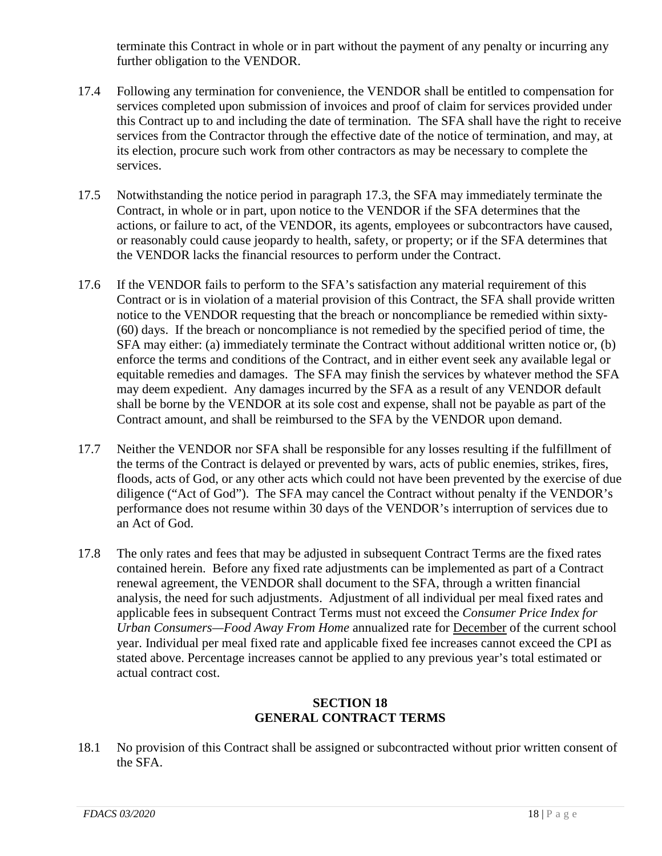terminate this Contract in whole or in part without the payment of any penalty or incurring any further obligation to the VENDOR.

- 17.4 Following any termination for convenience, the VENDOR shall be entitled to compensation for services completed upon submission of invoices and proof of claim for services provided under this Contract up to and including the date of termination. The SFA shall have the right to receive services from the Contractor through the effective date of the notice of termination, and may, at its election, procure such work from other contractors as may be necessary to complete the services.
- 17.5 Notwithstanding the notice period in paragraph 17.3, the SFA may immediately terminate the Contract, in whole or in part, upon notice to the VENDOR if the SFA determines that the actions, or failure to act, of the VENDOR, its agents, employees or subcontractors have caused, or reasonably could cause jeopardy to health, safety, or property; or if the SFA determines that the VENDOR lacks the financial resources to perform under the Contract.
- 17.6 If the VENDOR fails to perform to the SFA's satisfaction any material requirement of this Contract or is in violation of a material provision of this Contract, the SFA shall provide written notice to the VENDOR requesting that the breach or noncompliance be remedied within sixty- (60) days. If the breach or noncompliance is not remedied by the specified period of time, the SFA may either: (a) immediately terminate the Contract without additional written notice or, (b) enforce the terms and conditions of the Contract, and in either event seek any available legal or equitable remedies and damages. The SFA may finish the services by whatever method the SFA may deem expedient. Any damages incurred by the SFA as a result of any VENDOR default shall be borne by the VENDOR at its sole cost and expense, shall not be payable as part of the Contract amount, and shall be reimbursed to the SFA by the VENDOR upon demand.
- 17.7 Neither the VENDOR nor SFA shall be responsible for any losses resulting if the fulfillment of the terms of the Contract is delayed or prevented by wars, acts of public enemies, strikes, fires, floods, acts of God, or any other acts which could not have been prevented by the exercise of due diligence ("Act of God"). The SFA may cancel the Contract without penalty if the VENDOR's performance does not resume within 30 days of the VENDOR's interruption of services due to an Act of God.
- 17.8 The only rates and fees that may be adjusted in subsequent Contract Terms are the fixed rates contained herein. Before any fixed rate adjustments can be implemented as part of a Contract renewal agreement, the VENDOR shall document to the SFA, through a written financial analysis, the need for such adjustments. Adjustment of all individual per meal fixed rates and applicable fees in subsequent Contract Terms must not exceed the *Consumer Price Index for Urban Consumers—Food Away From Home* annualized rate for December of the current school year. Individual per meal fixed rate and applicable fixed fee increases cannot exceed the CPI as stated above. Percentage increases cannot be applied to any previous year's total estimated or actual contract cost.

#### **SECTION 18 GENERAL CONTRACT TERMS**

18.1 No provision of this Contract shall be assigned or subcontracted without prior written consent of the SFA.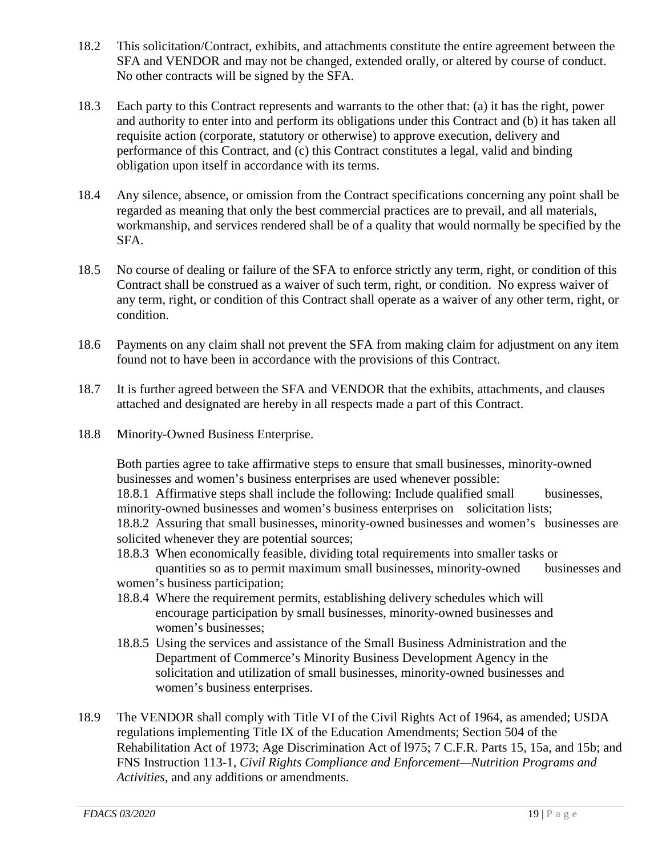- 18.2 This solicitation/Contract, exhibits, and attachments constitute the entire agreement between the SFA and VENDOR and may not be changed, extended orally, or altered by course of conduct. No other contracts will be signed by the SFA.
- 18.3 Each party to this Contract represents and warrants to the other that: (a) it has the right, power and authority to enter into and perform its obligations under this Contract and (b) it has taken all requisite action (corporate, statutory or otherwise) to approve execution, delivery and performance of this Contract, and (c) this Contract constitutes a legal, valid and binding obligation upon itself in accordance with its terms.
- 18.4 Any silence, absence, or omission from the Contract specifications concerning any point shall be regarded as meaning that only the best commercial practices are to prevail, and all materials, workmanship, and services rendered shall be of a quality that would normally be specified by the SFA.
- 18.5 No course of dealing or failure of the SFA to enforce strictly any term, right, or condition of this Contract shall be construed as a waiver of such term, right, or condition. No express waiver of any term, right, or condition of this Contract shall operate as a waiver of any other term, right, or condition.
- 18.6 Payments on any claim shall not prevent the SFA from making claim for adjustment on any item found not to have been in accordance with the provisions of this Contract.
- 18.7 It is further agreed between the SFA and VENDOR that the exhibits, attachments, and clauses attached and designated are hereby in all respects made a part of this Contract.
- 18.8 Minority-Owned Business Enterprise.

Both parties agree to take affirmative steps to ensure that small businesses, minority-owned businesses and women's business enterprises are used whenever possible: 18.8.1 Affirmative steps shall include the following: Include qualified small businesses, minority-owned businesses and women's business enterprises on solicitation lists; 18.8.2 Assuring that small businesses, minority-owned businesses and women's businesses are solicited whenever they are potential sources;

- 18.8.3 When economically feasible, dividing total requirements into smaller tasks or quantities so as to permit maximum small businesses, minority-owned businesses and women's business participation;
- 18.8.4 Where the requirement permits, establishing delivery schedules which will encourage participation by small businesses, minority-owned businesses and women's businesses;
- 18.8.5 Using the services and assistance of the Small Business Administration and the Department of Commerce's Minority Business Development Agency in the solicitation and utilization of small businesses, minority-owned businesses and women's business enterprises.
- 18.9 The VENDOR shall comply with Title VI of the Civil Rights Act of 1964, as amended; USDA regulations implementing Title IX of the Education Amendments; Section 504 of the Rehabilitation Act of 1973; Age Discrimination Act of l975; 7 C.F.R. Parts 15, 15a, and 15b; and FNS Instruction 113-1, *Civil Rights Compliance and Enforcement—Nutrition Programs and Activities*, and any additions or amendments.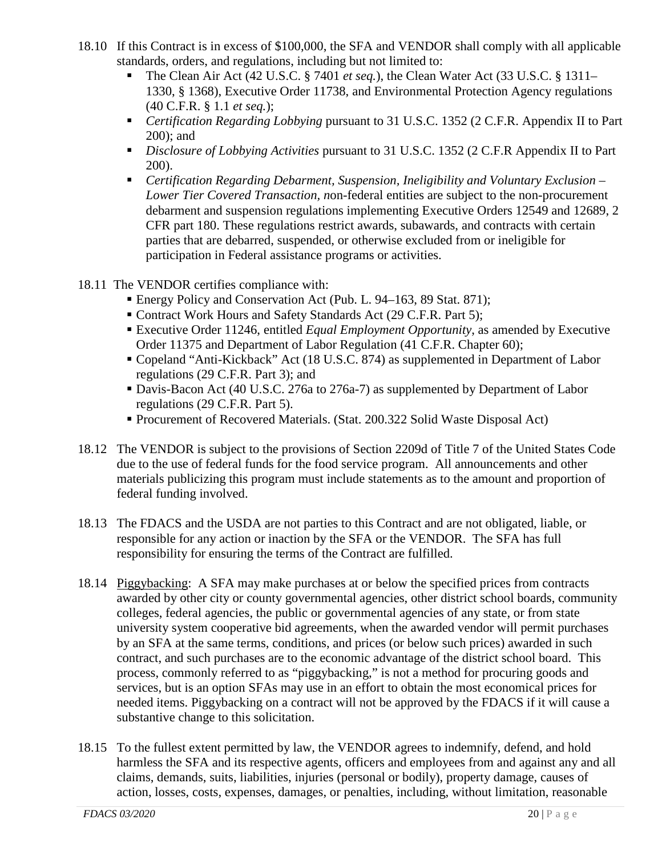- 18.10 If this Contract is in excess of \$100,000, the SFA and VENDOR shall comply with all applicable standards, orders, and regulations, including but not limited to:
	- The Clean Air Act (42 U.S.C. § 7401 *et seq.*), the Clean Water Act (33 U.S.C. § 1311– 1330, § 1368), Executive Order 11738, and Environmental Protection Agency regulations (40 C.F.R. § 1.1 *et seq.*);
	- *Certification Regarding Lobbying* pursuant to 31 U.S.C. 1352 (2 C.F.R. Appendix II to Part 200); and
	- *Disclosure of Lobbying Activities* pursuant to 31 U.S.C. 1352 (2 C.F.R Appendix II to Part 200).
	- *Certification Regarding Debarment, Suspension, Ineligibility and Voluntary Exclusion – Lower Tier Covered Transaction, n*on-federal entities are subject to the non-procurement debarment and suspension regulations implementing Executive Orders 12549 and 12689, [2](https://www.law.cornell.edu/cfr/text/2/part-180)  [CFR part 180.](https://www.law.cornell.edu/cfr/text/2/part-180) These regulations restrict awards, subawards, and [contracts](https://www.law.cornell.edu/definitions/index.php?width=840&height=800&iframe=true&def_id=dad614c8a49266d2767ab3a834546ad5&term_occur=999&term_src=Title:2:Subtitle:A:Chapter:II:Part:200:Subpart:C:200.213) with certain parties that are debarred, suspended, or otherwise excluded from or ineligible for participation in Federal assistance programs or activities.
- 18.11 The VENDOR certifies compliance with:
	- Energy Policy and Conservation Act (Pub. L. 94–163, 89 Stat. 871);
	- Contract Work Hours and Safety Standards Act (29 C.F.R. Part 5);
	- Executive Order 11246, entitled *Equal Employment Opportunity*, as amended by Executive Order 11375 and Department of Labor Regulation (41 C.F.R. Chapter 60);
	- Copeland "Anti-Kickback" Act (18 U.S.C. 874) as supplemented in Department of Labor regulations (29 C.F.R. Part 3); and
	- Davis-Bacon Act (40 U.S.C. 276a to 276a-7) as supplemented by Department of Labor regulations (29 C.F.R. Part 5).
	- Procurement of Recovered Materials. (Stat. 200.322 Solid Waste Disposal Act)
- 18.12 The VENDOR is subject to the provisions of Section 2209d of Title 7 of the United States Code due to the use of federal funds for the food service program. All announcements and other materials publicizing this program must include statements as to the amount and proportion of federal funding involved.
- 18.13 The FDACS and the USDA are not parties to this Contract and are not obligated, liable, or responsible for any action or inaction by the SFA or the VENDOR. The SFA has full responsibility for ensuring the terms of the Contract are fulfilled.
- 18.14 Piggybacking: A SFA may make purchases at or below the specified prices from contracts awarded by other city or county governmental agencies, other district school boards, community colleges, federal agencies, the public or governmental agencies of any state, or from state university system cooperative bid agreements, when the awarded vendor will permit purchases by an SFA at the same terms, conditions, and prices (or below such prices) awarded in such contract, and such purchases are to the economic advantage of the district school board. This process, commonly referred to as "piggybacking," is not a method for procuring goods and services, but is an option SFAs may use in an effort to obtain the most economical prices for needed items. Piggybacking on a contract will not be approved by the FDACS if it will cause a substantive change to this solicitation.
- 18.15 To the fullest extent permitted by law, the VENDOR agrees to indemnify, defend, and hold harmless the SFA and its respective agents, officers and employees from and against any and all claims, demands, suits, liabilities, injuries (personal or bodily), property damage, causes of action, losses, costs, expenses, damages, or penalties, including, without limitation, reasonable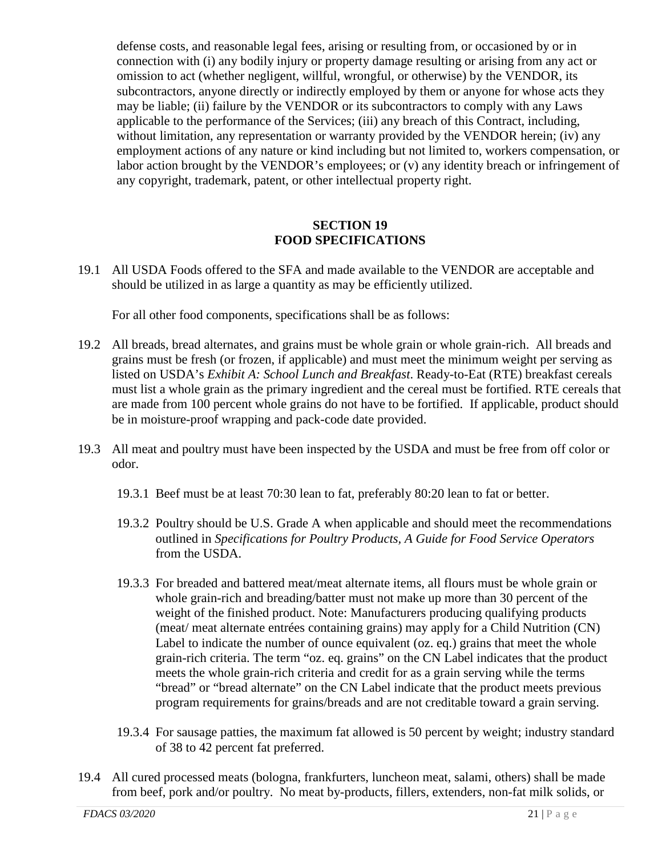defense costs, and reasonable legal fees, arising or resulting from, or occasioned by or in connection with (i) any bodily injury or property damage resulting or arising from any act or omission to act (whether negligent, willful, wrongful, or otherwise) by the VENDOR, its subcontractors, anyone directly or indirectly employed by them or anyone for whose acts they may be liable; (ii) failure by the VENDOR or its subcontractors to comply with any Laws applicable to the performance of the Services; (iii) any breach of this Contract, including, without limitation, any representation or warranty provided by the VENDOR herein; (iv) any employment actions of any nature or kind including but not limited to, workers compensation, or labor action brought by the VENDOR's employees; or (v) any identity breach or infringement of any copyright, trademark, patent, or other intellectual property right.

#### **SECTION 19 FOOD SPECIFICATIONS**

19.1 All USDA Foods offered to the SFA and made available to the VENDOR are acceptable and should be utilized in as large a quantity as may be efficiently utilized.

For all other food components, specifications shall be as follows:

- 19.2 All breads, bread alternates, and grains must be whole grain or whole grain-rich. All breads and grains must be fresh (or frozen, if applicable) and must meet the minimum weight per serving as listed on USDA's *Exhibit A: School Lunch and Breakfast*. Ready-to-Eat (RTE) breakfast cereals must list a whole grain as the primary ingredient and the cereal must be fortified. RTE cereals that are made from 100 percent whole grains do not have to be fortified. If applicable, product should be in moisture-proof wrapping and pack-code date provided.
- 19.3 All meat and poultry must have been inspected by the USDA and must be free from off color or odor.
	- 19.3.1 Beef must be at least 70:30 lean to fat, preferably 80:20 lean to fat or better.
	- 19.3.2 Poultry should be U.S. Grade A when applicable and should meet the recommendations outlined in *Specifications for Poultry Products, A Guide for Food Service Operators*  from the USDA.
	- 19.3.3 For breaded and battered meat/meat alternate items, all flours must be whole grain or whole grain-rich and breading/batter must not make up more than 30 percent of the weight of the finished product. Note: Manufacturers producing qualifying products (meat/ meat alternate entrées containing grains) may apply for a Child Nutrition (CN) Label to indicate the number of ounce equivalent (oz. eq.) grains that meet the whole grain-rich criteria. The term "oz. eq. grains" on the CN Label indicates that the product meets the whole grain-rich criteria and credit for as a grain serving while the terms "bread" or "bread alternate" on the CN Label indicate that the product meets previous program requirements for grains/breads and are not creditable toward a grain serving.
	- 19.3.4 For sausage patties, the maximum fat allowed is 50 percent by weight; industry standard of 38 to 42 percent fat preferred.
- 19.4 All cured processed meats (bologna, frankfurters, luncheon meat, salami, others) shall be made from beef, pork and/or poultry. No meat by-products, fillers, extenders, non-fat milk solids, or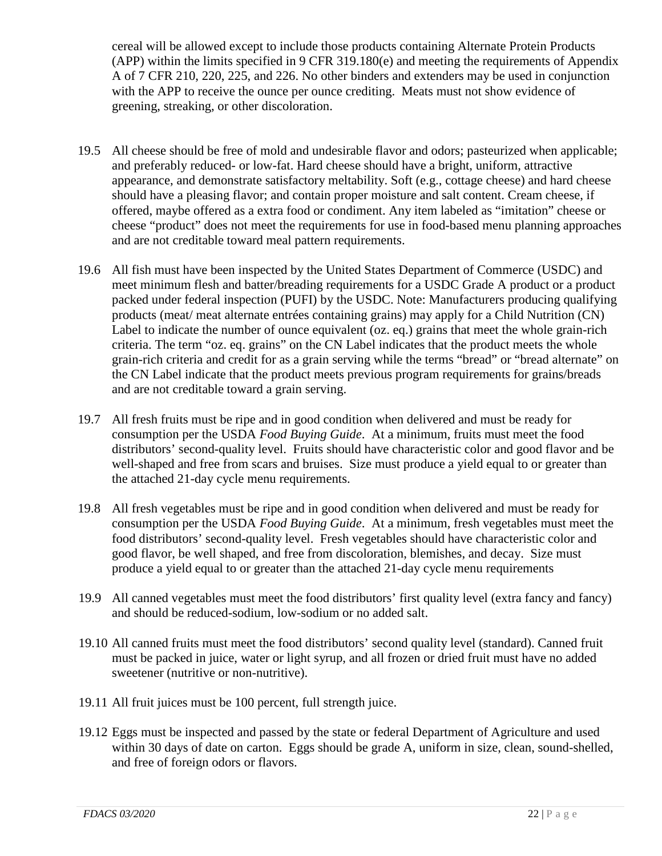cereal will be allowed except to include those products containing Alternate Protein Products (APP) within the limits specified in 9 CFR 319.180(e) and meeting the requirements of Appendix A of 7 CFR 210, 220, 225, and 226. No other binders and extenders may be used in conjunction with the APP to receive the ounce per ounce crediting. Meats must not show evidence of greening, streaking, or other discoloration.

- 19.5 All cheese should be free of mold and undesirable flavor and odors; pasteurized when applicable; and preferably reduced- or low-fat. Hard cheese should have a bright, uniform, attractive appearance, and demonstrate satisfactory meltability. Soft (e.g., cottage cheese) and hard cheese should have a pleasing flavor; and contain proper moisture and salt content. Cream cheese, if offered, maybe offered as a extra food or condiment. Any item labeled as "imitation" cheese or cheese "product" does not meet the requirements for use in food-based menu planning approaches and are not creditable toward meal pattern requirements.
- 19.6 All fish must have been inspected by the United States Department of Commerce (USDC) and meet minimum flesh and batter/breading requirements for a USDC Grade A product or a product packed under federal inspection (PUFI) by the USDC. Note: Manufacturers producing qualifying products (meat/ meat alternate entrées containing grains) may apply for a Child Nutrition (CN) Label to indicate the number of ounce equivalent (oz. eq.) grains that meet the whole grain-rich criteria. The term "oz. eq. grains" on the CN Label indicates that the product meets the whole grain-rich criteria and credit for as a grain serving while the terms "bread" or "bread alternate" on the CN Label indicate that the product meets previous program requirements for grains/breads and are not creditable toward a grain serving.
- 19.7 All fresh fruits must be ripe and in good condition when delivered and must be ready for consumption per the USDA *Food Buying Guide*. At a minimum, fruits must meet the food distributors' second-quality level. Fruits should have characteristic color and good flavor and be well-shaped and free from scars and bruises. Size must produce a yield equal to or greater than the attached 21-day cycle menu requirements.
- 19.8 All fresh vegetables must be ripe and in good condition when delivered and must be ready for consumption per the USDA *Food Buying Guide*. At a minimum, fresh vegetables must meet the food distributors' second-quality level. Fresh vegetables should have characteristic color and good flavor, be well shaped, and free from discoloration, blemishes, and decay. Size must produce a yield equal to or greater than the attached 21-day cycle menu requirements
- 19.9 All canned vegetables must meet the food distributors' first quality level (extra fancy and fancy) and should be reduced-sodium, low-sodium or no added salt.
- 19.10 All canned fruits must meet the food distributors' second quality level (standard). Canned fruit must be packed in juice, water or light syrup, and all frozen or dried fruit must have no added sweetener (nutritive or non-nutritive).
- 19.11 All fruit juices must be 100 percent, full strength juice.
- 19.12 Eggs must be inspected and passed by the state or federal Department of Agriculture and used within 30 days of date on carton. Eggs should be grade A, uniform in size, clean, sound-shelled, and free of foreign odors or flavors.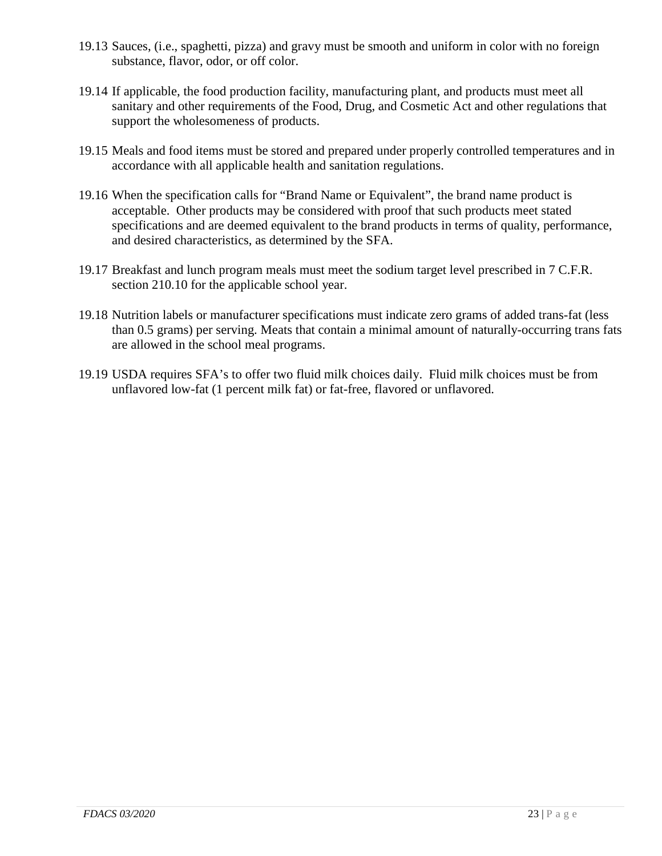- 19.13 Sauces, (i.e., spaghetti, pizza) and gravy must be smooth and uniform in color with no foreign substance, flavor, odor, or off color.
- 19.14 If applicable, the food production facility, manufacturing plant, and products must meet all sanitary and other requirements of the Food, Drug, and Cosmetic Act and other regulations that support the wholesomeness of products.
- 19.15 Meals and food items must be stored and prepared under properly controlled temperatures and in accordance with all applicable health and sanitation regulations.
- 19.16 When the specification calls for "Brand Name or Equivalent", the brand name product is acceptable. Other products may be considered with proof that such products meet stated specifications and are deemed equivalent to the brand products in terms of quality, performance, and desired characteristics, as determined by the SFA.
- 19.17 Breakfast and lunch program meals must meet the sodium target level prescribed in 7 C.F.R. section 210.10 for the applicable school year.
- 19.18 Nutrition labels or manufacturer specifications must indicate zero grams of added trans-fat (less than 0.5 grams) per serving. Meats that contain a minimal amount of naturally-occurring trans fats are allowed in the school meal programs.
- 19.19 USDA requires SFA's to offer two fluid milk choices daily. Fluid milk choices must be from unflavored low-fat (1 percent milk fat) or fat-free, flavored or unflavored.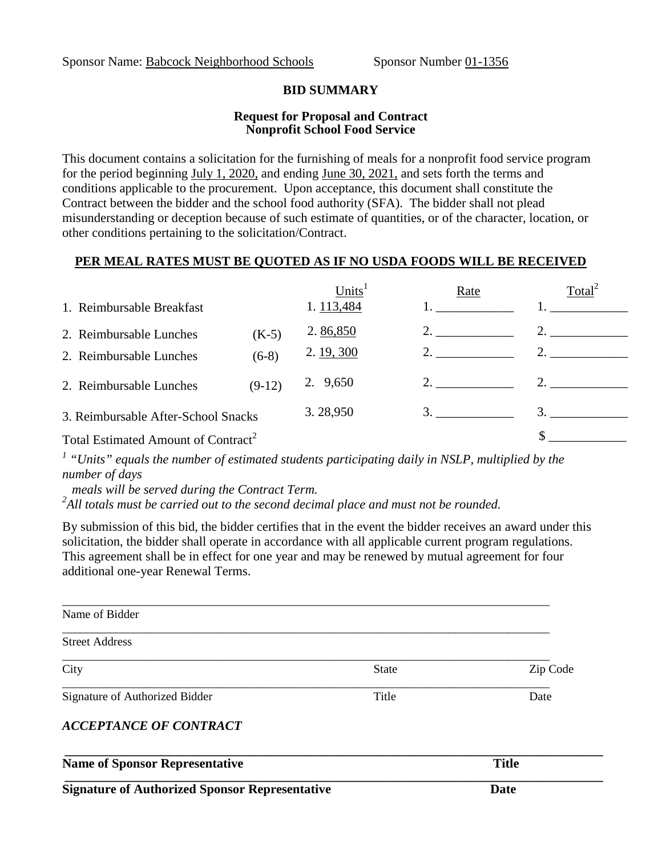#### **BID SUMMARY**

#### **Request for Proposal and Contract Nonprofit School Food Service**

This document contains a solicitation for the furnishing of meals for a nonprofit food service program for the period beginning July 1, 2020, and ending June 30, 2021, and sets forth the terms and conditions applicable to the procurement. Upon acceptance, this document shall constitute the Contract between the bidder and the school food authority (SFA). The bidder shall not plead misunderstanding or deception because of such estimate of quantities, or of the character, location, or other conditions pertaining to the solicitation/Contract.

#### **PER MEAL RATES MUST BE QUOTED AS IF NO USDA FOODS WILL BE RECEIVED**

|                                                 | Units <sup>1</sup> | Rate | Total <sup>2</sup> |
|-------------------------------------------------|--------------------|------|--------------------|
| 1. Reimbursable Breakfast                       | 1.113,484          |      |                    |
| 2. Reimbursable Lunches<br>$(K-5)$              | 2.86,850           |      |                    |
| $(6-8)$<br>2. Reimbursable Lunches              | 2. 19, 300         | 2.   |                    |
| $(9-12)$<br>2. Reimbursable Lunches             | 2. 9,650           | 2.   | 2.                 |
| 3. Reimbursable After-School Snacks             | 3.28,950           | 3.   | $\mathcal{F}$      |
| Total Estimated Amount of Contract <sup>2</sup> |                    |      |                    |

*<sup>1</sup> "Units" equals the number of estimated students participating daily in NSLP, multiplied by the number of days*

 *meals will be served during the Contract Term. <sup>2</sup>*

<sup>2</sup>All totals must be carried out to the second decimal place and must not be rounded.

By submission of this bid, the bidder certifies that in the event the bidder receives an award under this solicitation, the bidder shall operate in accordance with all applicable current program regulations. This agreement shall be in effect for one year and may be renewed by mutual agreement for four additional one-year Renewal Terms.

| <b>Signature of Authorized Sponsor Representative</b> |              | Date         |
|-------------------------------------------------------|--------------|--------------|
| <b>Name of Sponsor Representative</b>                 |              | <b>Title</b> |
| <b>ACCEPTANCE OF CONTRACT</b>                         |              |              |
| Signature of Authorized Bidder                        | Title        | Date         |
| City                                                  | <b>State</b> | Zip Code     |
| <b>Street Address</b>                                 |              |              |
| Name of Bidder                                        |              |              |
|                                                       |              |              |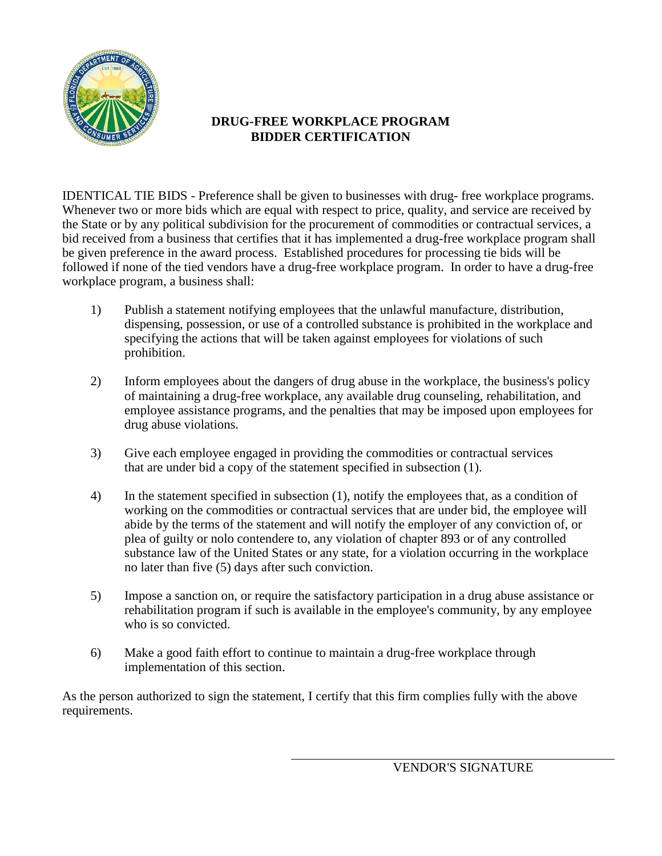

#### **DRUG-FREE WORKPLACE PROGRAM BIDDER CERTIFICATION**

IDENTICAL TIE BIDS - Preference shall be given to businesses with drug- free workplace programs. Whenever two or more bids which are equal with respect to price, quality, and service are received by the State or by any political subdivision for the procurement of commodities or contractual services, a bid received from a business that certifies that it has implemented a drug-free workplace program shall be given preference in the award process. Established procedures for processing tie bids will be followed if none of the tied vendors have a drug-free workplace program. In order to have a drug-free workplace program, a business shall:

- 1) Publish a statement notifying employees that the unlawful manufacture, distribution, dispensing, possession, or use of a controlled substance is prohibited in the workplace and specifying the actions that will be taken against employees for violations of such prohibition.
- 2) Inform employees about the dangers of drug abuse in the workplace, the business's policy of maintaining a drug-free workplace, any available drug counseling, rehabilitation, and employee assistance programs, and the penalties that may be imposed upon employees for drug abuse violations.
- 3) Give each employee engaged in providing the commodities or contractual services that are under bid a copy of the statement specified in subsection (1).
- 4) In the statement specified in subsection (1), notify the employees that, as a condition of working on the commodities or contractual services that are under bid, the employee will abide by the terms of the statement and will notify the employer of any conviction of, or plea of guilty or nolo contendere to, any violation of chapter 893 or of any controlled substance law of the United States or any state, for a violation occurring in the workplace no later than five (5) days after such conviction.
- 5) Impose a sanction on, or require the satisfactory participation in a drug abuse assistance or rehabilitation program if such is available in the employee's community, by any employee who is so convicted.
- 6) Make a good faith effort to continue to maintain a drug-free workplace through implementation of this section.

As the person authorized to sign the statement, I certify that this firm complies fully with the above requirements.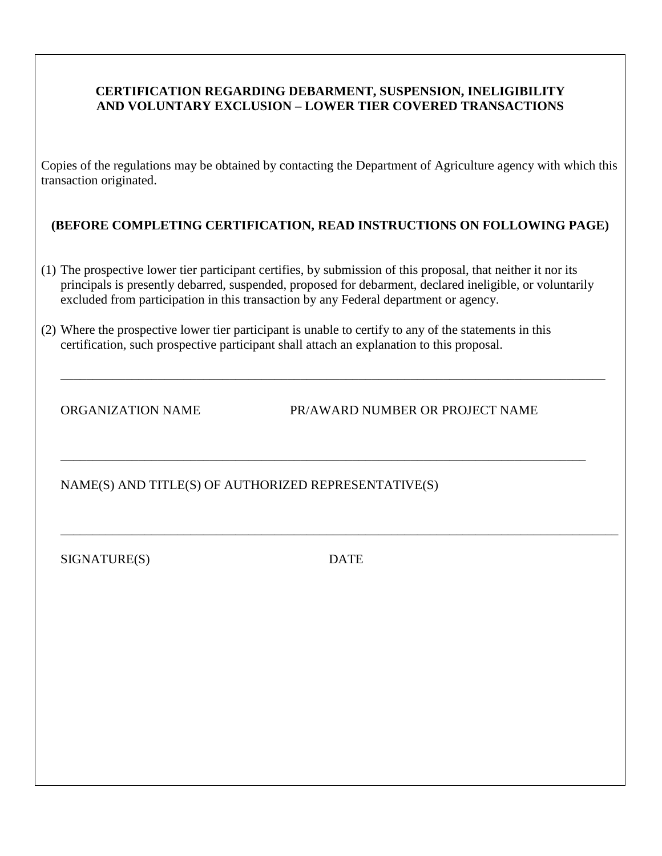#### **CERTIFICATION REGARDING DEBARMENT, SUSPENSION, INELIGIBILITY AND VOLUNTARY EXCLUSION – LOWER TIER COVERED TRANSACTIONS**

Copies of the regulations may be obtained by contacting the Department of Agriculture agency with which this transaction originated.

#### **(BEFORE COMPLETING CERTIFICATION, READ INSTRUCTIONS ON FOLLOWING PAGE)**

(1) The prospective lower tier participant certifies, by submission of this proposal, that neither it nor its principals is presently debarred, suspended, proposed for debarment, declared ineligible, or voluntarily excluded from participation in this transaction by any Federal department or agency.

\_\_\_\_\_\_\_\_\_\_\_\_\_\_\_\_\_\_\_\_\_\_\_\_\_\_\_\_\_\_\_\_\_\_\_\_\_\_\_\_\_\_\_\_\_\_\_\_\_\_\_\_\_\_\_\_\_\_\_\_\_\_\_\_\_\_\_\_\_\_\_\_\_\_\_\_\_\_\_\_\_\_\_\_

\_\_\_\_\_\_\_\_\_\_\_\_\_\_\_\_\_\_\_\_\_\_\_\_\_\_\_\_\_\_\_\_\_\_\_\_\_\_\_\_\_\_\_\_\_\_\_\_\_\_\_\_\_\_\_\_\_\_\_\_\_\_\_\_\_\_\_\_\_\_\_\_\_\_\_\_\_\_\_\_\_

(2) Where the prospective lower tier participant is unable to certify to any of the statements in this certification, such prospective participant shall attach an explanation to this proposal.

ORGANIZATION NAME PR/AWARD NUMBER OR PROJECT NAME

NAME(S) AND TITLE(S) OF AUTHORIZED REPRESENTATIVE(S)

SIGNATURE(S) DATE

\_\_\_\_\_\_\_\_\_\_\_\_\_\_\_\_\_\_\_\_\_\_\_\_\_\_\_\_\_\_\_\_\_\_\_\_\_\_\_\_\_\_\_\_\_\_\_\_\_\_\_\_\_\_\_\_\_\_\_\_\_\_\_\_\_\_\_\_\_\_\_\_\_\_\_\_\_\_\_\_\_\_\_\_\_\_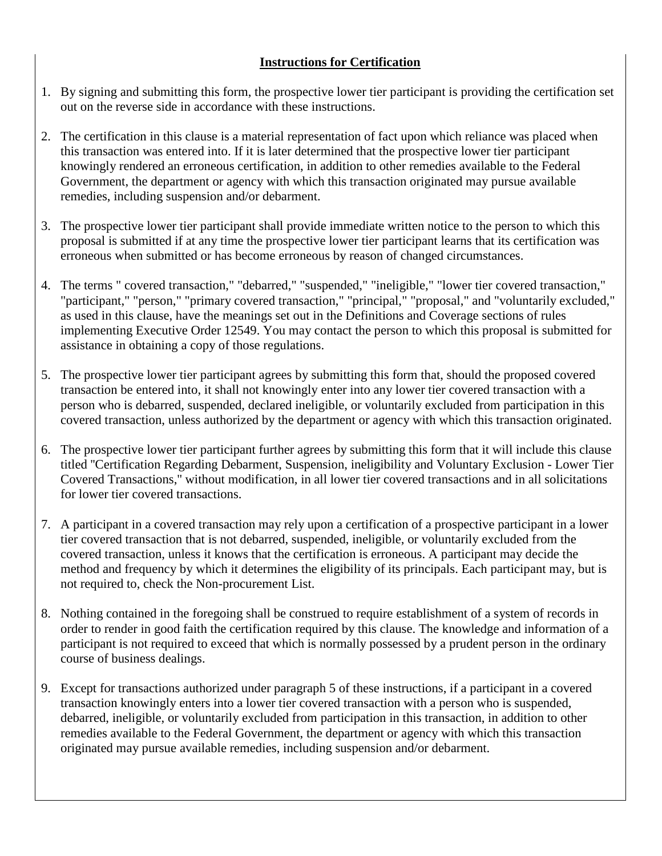#### **Instructions for Certification**

- 1. By signing and submitting this form, the prospective lower tier participant is providing the certification set out on the reverse side in accordance with these instructions.
- 2. The certification in this clause is a material representation of fact upon which reliance was placed when this transaction was entered into. If it is later determined that the prospective lower tier participant knowingly rendered an erroneous certification, in addition to other remedies available to the Federal Government, the department or agency with which this transaction originated may pursue available remedies, including suspension and/or debarment.
- 3. The prospective lower tier participant shall provide immediate written notice to the person to which this proposal is submitted if at any time the prospective lower tier participant learns that its certification was erroneous when submitted or has become erroneous by reason of changed circumstances.
- 4. The terms " covered transaction," "debarred," "suspended," "ineligible," "lower tier covered transaction," "participant," "person," "primary covered transaction," "principal," "proposal," and "voluntarily excluded," as used in this clause, have the meanings set out in the Definitions and Coverage sections of rules implementing Executive Order 12549. You may contact the person to which this proposal is submitted for assistance in obtaining a copy of those regulations.
- 5. The prospective lower tier participant agrees by submitting this form that, should the proposed covered transaction be entered into, it shall not knowingly enter into any lower tier covered transaction with a person who is debarred, suspended, declared ineligible, or voluntarily excluded from participation in this covered transaction, unless authorized by the department or agency with which this transaction originated.
- 6. The prospective lower tier participant further agrees by submitting this form that it will include this clause titled ''Certification Regarding Debarment, Suspension, ineligibility and Voluntary Exclusion - Lower Tier Covered Transactions,'' without modification, in all lower tier covered transactions and in all solicitations for lower tier covered transactions.
- 7. A participant in a covered transaction may rely upon a certification of a prospective participant in a lower tier covered transaction that is not debarred, suspended, ineligible, or voluntarily excluded from the covered transaction, unless it knows that the certification is erroneous. A participant may decide the method and frequency by which it determines the eligibility of its principals. Each participant may, but is not required to, check the Non-procurement List.
- 8. Nothing contained in the foregoing shall be construed to require establishment of a system of records in order to render in good faith the certification required by this clause. The knowledge and information of a participant is not required to exceed that which is normally possessed by a prudent person in the ordinary course of business dealings.
- 9. Except for transactions authorized under paragraph 5 of these instructions, if a participant in a covered transaction knowingly enters into a lower tier covered transaction with a person who is suspended, debarred, ineligible, or voluntarily excluded from participation in this transaction, in addition to other remedies available to the Federal Government, the department or agency with which this transaction originated may pursue available remedies, including suspension and/or debarment.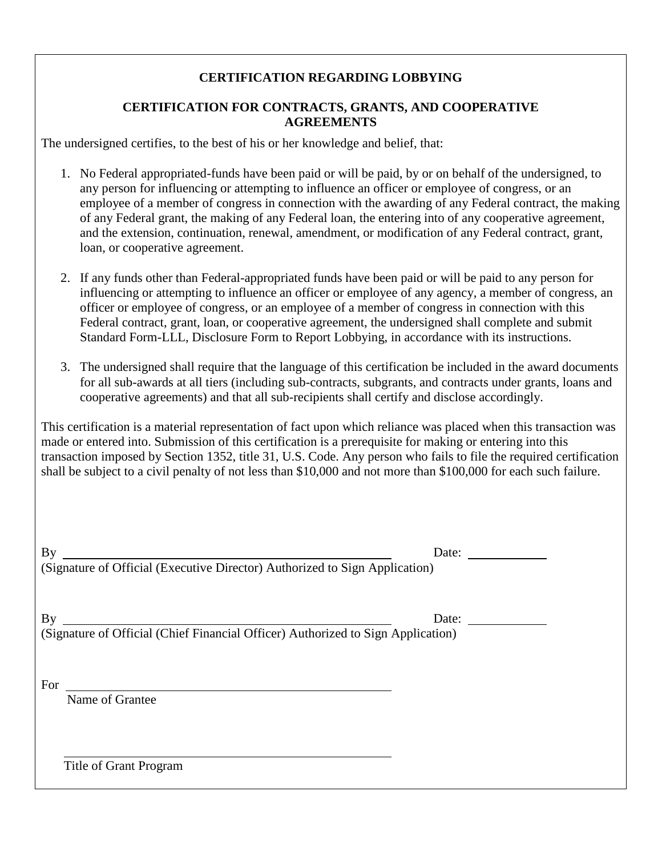#### **CERTIFICATION REGARDING LOBBYING**

#### **CERTIFICATION FOR CONTRACTS, GRANTS, AND COOPERATIVE AGREEMENTS**

The undersigned certifies, to the best of his or her knowledge and belief, that:

- 1. No Federal appropriated-funds have been paid or will be paid, by or on behalf of the undersigned, to any person for influencing or attempting to influence an officer or employee of congress, or an employee of a member of congress in connection with the awarding of any Federal contract, the making of any Federal grant, the making of any Federal loan, the entering into of any cooperative agreement, and the extension, continuation, renewal, amendment, or modification of any Federal contract, grant, loan, or cooperative agreement.
- 2. If any funds other than Federal-appropriated funds have been paid or will be paid to any person for influencing or attempting to influence an officer or employee of any agency, a member of congress, an officer or employee of congress, or an employee of a member of congress in connection with this Federal contract, grant, loan, or cooperative agreement, the undersigned shall complete and submit Standard Form-LLL, Disclosure Form to Report Lobbying, in accordance with its instructions.
- 3. The undersigned shall require that the language of this certification be included in the award documents for all sub-awards at all tiers (including sub-contracts, subgrants, and contracts under grants, loans and cooperative agreements) and that all sub-recipients shall certify and disclose accordingly.

This certification is a material representation of fact upon which reliance was placed when this transaction was made or entered into. Submission of this certification is a prerequisite for making or entering into this transaction imposed by Section 1352, title 31, U.S. Code. Any person who fails to file the required certification shall be subject to a civil penalty of not less than \$10,000 and not more than \$100,000 for each such failure.

| By                                                                          | Date: |
|-----------------------------------------------------------------------------|-------|
| (Signature of Official (Executive Director) Authorized to Sign Application) |       |

By Date: (Signature of Official (Chief Financial Officer) Authorized to Sign Application)

For

Name of Grantee

Title of Grant Program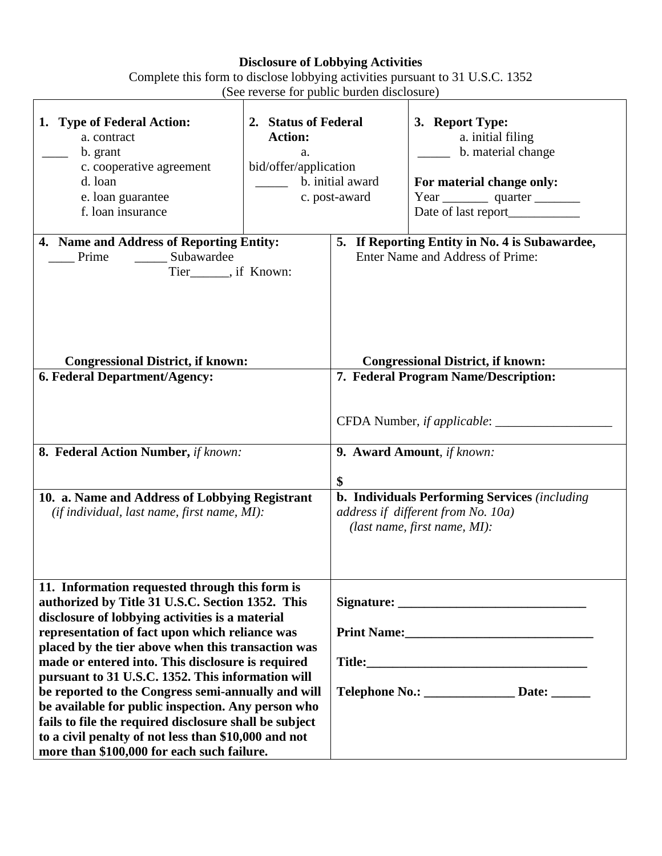### **Disclosure of Lobbying Activities**

| Complete this form to disclose lobbying activities pursuant to 31 U.S.C. 1352 |  |
|-------------------------------------------------------------------------------|--|
| (See reverse for public burden disclosure)                                    |  |
|                                                                               |  |

|                                                                                                                                                                                                                                                                                                                                                                                                                                                                                                                                                                                                                                                     | $1000$ reverse for public burden discressing                          |                                                                                    |                                                                                                                                                                                                  |  |  |  |
|-----------------------------------------------------------------------------------------------------------------------------------------------------------------------------------------------------------------------------------------------------------------------------------------------------------------------------------------------------------------------------------------------------------------------------------------------------------------------------------------------------------------------------------------------------------------------------------------------------------------------------------------------------|-----------------------------------------------------------------------|------------------------------------------------------------------------------------|--------------------------------------------------------------------------------------------------------------------------------------------------------------------------------------------------|--|--|--|
| 1. Type of Federal Action:<br>a. contract<br>b. grant<br>c. cooperative agreement<br>d. loan<br>e. loan guarantee<br>f. loan insurance                                                                                                                                                                                                                                                                                                                                                                                                                                                                                                              | 2. Status of Federal<br><b>Action:</b><br>a.<br>bid/offer/application | b. initial award<br>c. post-award                                                  | 3. Report Type:<br>a. initial filing<br>b. material change<br>For material change only:                                                                                                          |  |  |  |
| 4. Name and Address of Reporting Entity:<br>Subawardee<br>Prime<br>Tier_______, if Known:                                                                                                                                                                                                                                                                                                                                                                                                                                                                                                                                                           |                                                                       | 5. If Reporting Entity in No. 4 is Subawardee,<br>Enter Name and Address of Prime: |                                                                                                                                                                                                  |  |  |  |
| <b>Congressional District, if known:</b>                                                                                                                                                                                                                                                                                                                                                                                                                                                                                                                                                                                                            |                                                                       |                                                                                    | <b>Congressional District, if known:</b>                                                                                                                                                         |  |  |  |
| 6. Federal Department/Agency:                                                                                                                                                                                                                                                                                                                                                                                                                                                                                                                                                                                                                       |                                                                       |                                                                                    | 7. Federal Program Name/Description:                                                                                                                                                             |  |  |  |
| 8. Federal Action Number, if known:<br>10. a. Name and Address of Lobbying Registrant<br>(if individual, last name, first name, MI):                                                                                                                                                                                                                                                                                                                                                                                                                                                                                                                |                                                                       |                                                                                    | CFDA Number, if applicable: ________<br>9. Award Amount, if known:<br><b>b. Individuals Performing Services</b> (including<br>address if different from No. 10a)<br>(last name, first name, MI): |  |  |  |
| 11. Information requested through this form is<br>authorized by Title 31 U.S.C. Section 1352. This<br>disclosure of lobbying activities is a material<br>representation of fact upon which reliance was<br>placed by the tier above when this transaction was<br>made or entered into. This disclosure is required<br>pursuant to 31 U.S.C. 1352. This information will<br>be reported to the Congress semi-annually and will<br>be available for public inspection. Any person who<br>fails to file the required disclosure shall be subject<br>to a civil penalty of not less than \$10,000 and not<br>more than \$100,000 for each such failure. |                                                                       |                                                                                    | Telephone No.: _________________ Date: _______                                                                                                                                                   |  |  |  |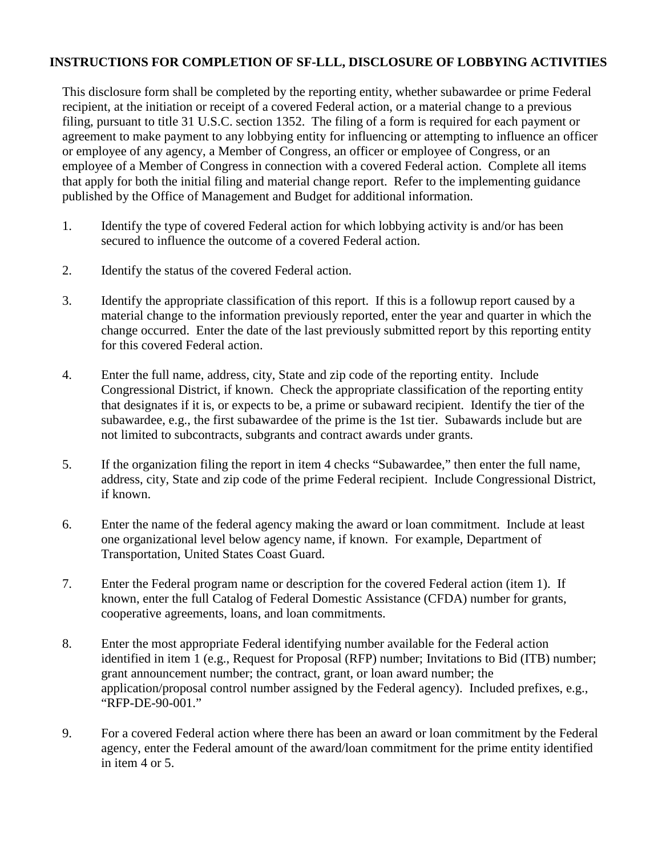#### **INSTRUCTIONS FOR COMPLETION OF SF-LLL, DISCLOSURE OF LOBBYING ACTIVITIES**

This disclosure form shall be completed by the reporting entity, whether subawardee or prime Federal recipient, at the initiation or receipt of a covered Federal action, or a material change to a previous filing, pursuant to title 31 U.S.C. section 1352. The filing of a form is required for each payment or agreement to make payment to any lobbying entity for influencing or attempting to influence an officer or employee of any agency, a Member of Congress, an officer or employee of Congress, or an employee of a Member of Congress in connection with a covered Federal action. Complete all items that apply for both the initial filing and material change report. Refer to the implementing guidance published by the Office of Management and Budget for additional information.

- 1. Identify the type of covered Federal action for which lobbying activity is and/or has been secured to influence the outcome of a covered Federal action.
- 2. Identify the status of the covered Federal action.
- 3. Identify the appropriate classification of this report. If this is a followup report caused by a material change to the information previously reported, enter the year and quarter in which the change occurred. Enter the date of the last previously submitted report by this reporting entity for this covered Federal action.
- 4. Enter the full name, address, city, State and zip code of the reporting entity. Include Congressional District, if known. Check the appropriate classification of the reporting entity that designates if it is, or expects to be, a prime or subaward recipient. Identify the tier of the subawardee, e.g., the first subawardee of the prime is the 1st tier. Subawards include but are not limited to subcontracts, subgrants and contract awards under grants.
- 5. If the organization filing the report in item 4 checks "Subawardee," then enter the full name, address, city, State and zip code of the prime Federal recipient. Include Congressional District, if known.
- 6. Enter the name of the federal agency making the award or loan commitment. Include at least one organizational level below agency name, if known. For example, Department of Transportation, United States Coast Guard.
- 7. Enter the Federal program name or description for the covered Federal action (item 1). If known, enter the full Catalog of Federal Domestic Assistance (CFDA) number for grants, cooperative agreements, loans, and loan commitments.
- 8. Enter the most appropriate Federal identifying number available for the Federal action identified in item 1 (e.g., Request for Proposal (RFP) number; Invitations to Bid (ITB) number; grant announcement number; the contract, grant, or loan award number; the application/proposal control number assigned by the Federal agency). Included prefixes, e.g., "RFP-DE-90-001."
- 9. For a covered Federal action where there has been an award or loan commitment by the Federal agency, enter the Federal amount of the award/loan commitment for the prime entity identified in item 4 or 5.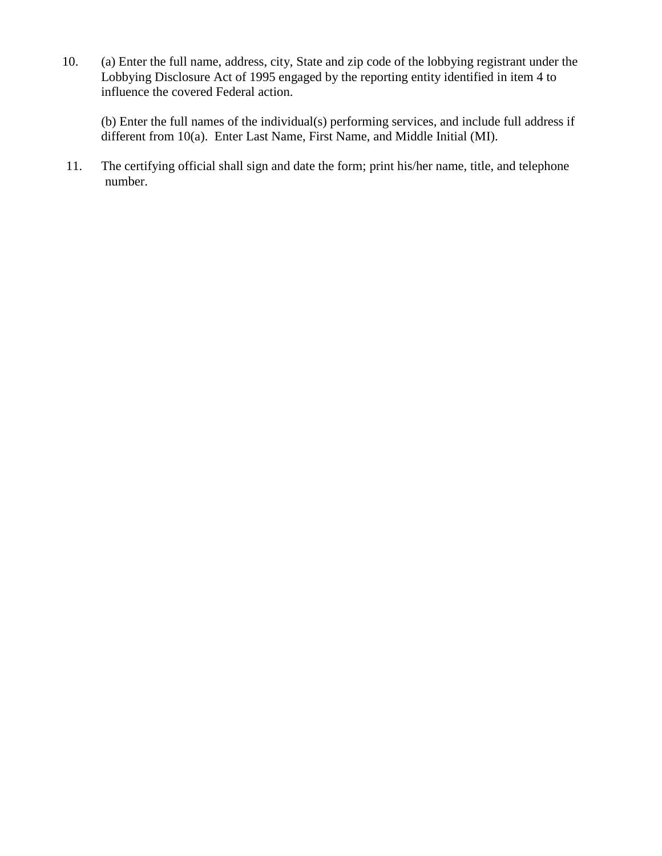10. (a) Enter the full name, address, city, State and zip code of the lobbying registrant under the Lobbying Disclosure Act of 1995 engaged by the reporting entity identified in item 4 to influence the covered Federal action.

(b) Enter the full names of the individual(s) performing services, and include full address if different from 10(a). Enter Last Name, First Name, and Middle Initial (MI).

11. The certifying official shall sign and date the form; print his/her name, title, and telephone number.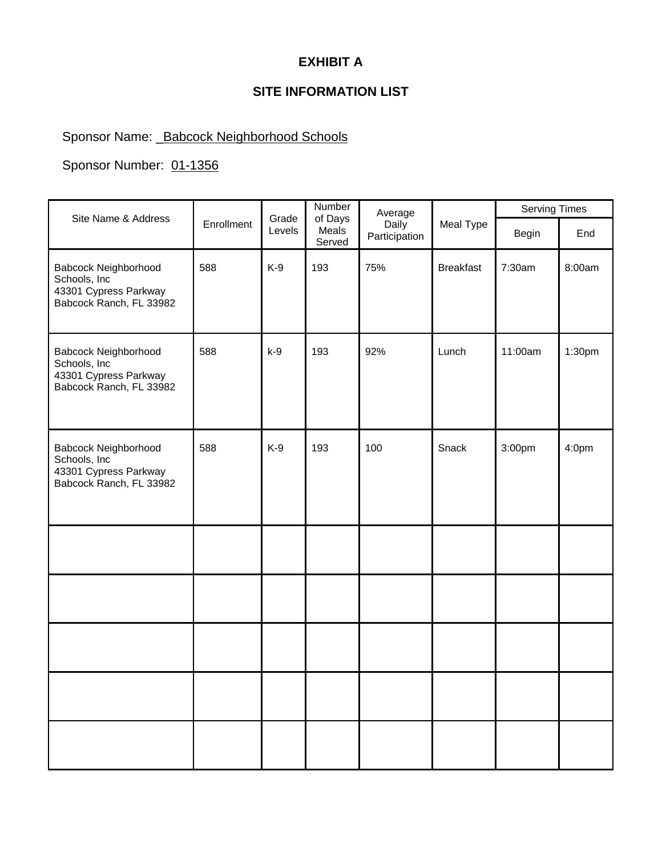### **EXHIBIT A**

### **SITE INFORMATION LIST**

### Sponsor Name: \_Babcock Neighborhood Schools

#### Sponsor Number: 01-1356

|                                                                                          |            |                 | Number                     | Average                |                  | <b>Serving Times</b> |                   |
|------------------------------------------------------------------------------------------|------------|-----------------|----------------------------|------------------------|------------------|----------------------|-------------------|
| Site Name & Address                                                                      | Enrollment | Grade<br>Levels | of Days<br>Meals<br>Served | Daily<br>Participation | Meal Type        | Begin                | End               |
| Babcock Neighborhood<br>Schools, Inc<br>43301 Cypress Parkway<br>Babcock Ranch, FL 33982 | 588        | $K-9$           | 193                        | 75%                    | <b>Breakfast</b> | 7:30am               | 8:00am            |
| Babcock Neighborhood<br>Schools, Inc<br>43301 Cypress Parkway<br>Babcock Ranch, FL 33982 | 588        | $k-9$           | 193                        | 92%                    | Lunch            | 11:00am              | 1:30pm            |
| Babcock Neighborhood<br>Schools, Inc<br>43301 Cypress Parkway<br>Babcock Ranch, FL 33982 | 588        | $K-9$           | 193                        | 100                    | Snack            | 3:00pm               | 4:0 <sub>pm</sub> |
|                                                                                          |            |                 |                            |                        |                  |                      |                   |
|                                                                                          |            |                 |                            |                        |                  |                      |                   |
|                                                                                          |            |                 |                            |                        |                  |                      |                   |
|                                                                                          |            |                 |                            |                        |                  |                      |                   |
|                                                                                          |            |                 |                            |                        |                  |                      |                   |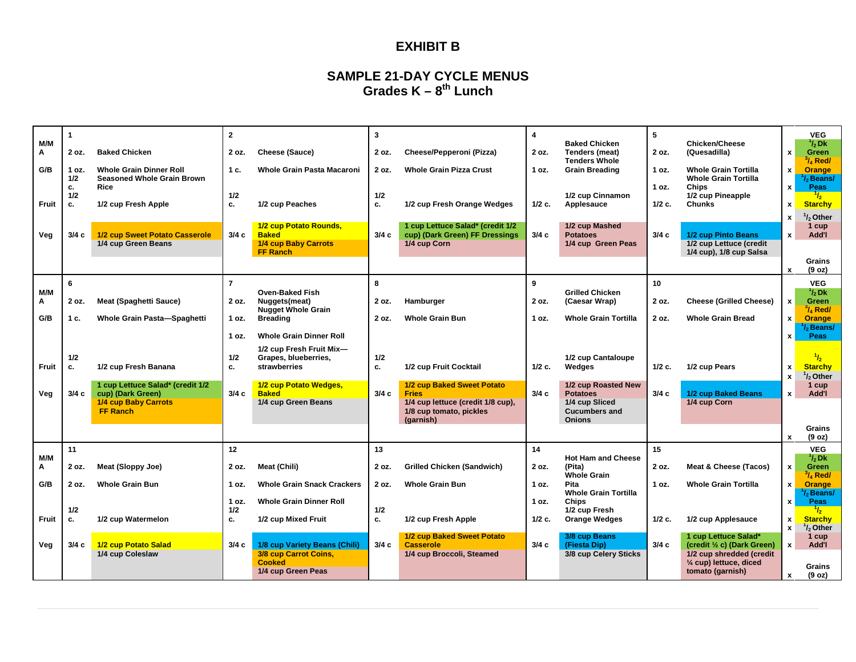#### **EXHIBIT B**

#### **SAMPLE 21-DAY CYCLE MENUS Grades K – 8th Lunch**

|          |           |                                           | $\overline{2}$ |                                              | 3         |                                                   | 4        |                                               | 5        |                                                    |                    | <b>VEG</b>                          |
|----------|-----------|-------------------------------------------|----------------|----------------------------------------------|-----------|---------------------------------------------------|----------|-----------------------------------------------|----------|----------------------------------------------------|--------------------|-------------------------------------|
| M/M      |           |                                           |                |                                              |           |                                                   |          | <b>Baked Chicken</b>                          |          | Chicken/Cheese                                     |                    | $1/2$ Dk                            |
| Α        | 2 oz.     | <b>Baked Chicken</b>                      | 2 oz.          | Cheese (Sauce)                               | 2 oz.     | Cheese/Pepperoni (Pizza)                          | 2 oz.    | Tenders (meat)                                | 2 oz.    | (Quesadilla)                                       | x                  | <b>Green</b>                        |
| G/B      | 1 oz.     | <b>Whole Grain Dinner Roll</b>            | 1 c.           | Whole Grain Pasta Macaroni                   | 2 oz.     | <b>Whole Grain Pizza Crust</b>                    | 1 oz.    | <b>Tenders Whole</b><br><b>Grain Breading</b> | 1 oz.    | <b>Whole Grain Tortilla</b>                        | x                  | $\frac{3}{4}$ Red/<br><b>Orange</b> |
|          | 1/2       | <b>Seasoned Whole Grain Brown</b>         |                |                                              |           |                                                   |          |                                               |          | <b>Whole Grain Tortilla</b>                        |                    | / <sub>b</sub> Beans/               |
|          | c.        | <b>Rice</b>                               |                |                                              |           |                                                   |          |                                               | 1 oz.    | <b>Chips</b>                                       | $\mathbf{x}$       | Peas                                |
|          | 1/2       |                                           | 1/2            |                                              | 1/2       |                                                   |          | 1/2 cup Cinnamon                              |          | 1/2 cup Pineapple                                  |                    | $\frac{1}{2}$                       |
| Fruit    | c.        | 1/2 cup Fresh Apple                       | c.             | 1/2 cup Peaches                              | c.        | 1/2 cup Fresh Orange Wedges                       | $1/2$ c. | Applesauce                                    | $1/2$ c. | <b>Chunks</b>                                      | $\mathbf{x}$       | <b>Starchy</b>                      |
|          |           |                                           |                |                                              |           |                                                   |          |                                               |          |                                                    | x                  | / <sub>2</sub> Other                |
|          |           |                                           |                | 1/2 cup Potato Rounds,                       |           | 1 cup Lettuce Salad* (credit 1/2                  |          | 1/2 cup Mashed                                |          |                                                    |                    | 1 cup                               |
| Veg      | 3/4c      | 1/2 cup Sweet Potato Casserole            | 3/4c           | <b>Baked</b>                                 | 3/4c      | cup) (Dark Green) FF Dressings                    | 3/4c     | <b>Potatoes</b>                               | 3/4c     | 1/2 cup Pinto Beans                                | $\mathbf{x}$       | Add'l                               |
|          |           | 1/4 cup Green Beans                       |                | 1/4 cup Baby Carrots<br><b>FF Ranch</b>      |           | 1/4 cup Corn                                      |          | 1/4 cup Green Peas                            |          | 1/2 cup Lettuce (credit<br>1/4 cup), 1/8 cup Salsa |                    |                                     |
|          |           |                                           |                |                                              |           |                                                   |          |                                               |          |                                                    |                    | Grains                              |
|          |           |                                           |                |                                              |           |                                                   |          |                                               |          |                                                    | x                  | (9 oz)                              |
|          | 6         |                                           | $\overline{7}$ |                                              | 8         |                                                   | 9        |                                               | 10       |                                                    |                    | <b>VEG</b>                          |
| M/M      |           |                                           |                | <b>Oven-Baked Fish</b>                       |           |                                                   |          | <b>Grilled Chicken</b>                        |          |                                                    |                    | $\frac{1}{2}$ Dk                    |
| Α        | 2 oz.     | <b>Meat (Spaghetti Sauce)</b>             | 2 oz.          | Nuggets(meat)                                | 2 oz.     | Hamburger                                         | 2 oz.    | (Caesar Wrap)                                 | 2 oz.    | <b>Cheese (Grilled Cheese)</b>                     | $\mathbf{x}$       | <b>Green</b>                        |
| G/B      | 1 c.      | Whole Grain Pasta-Spaghetti               | 1 oz.          | <b>Nugget Whole Grain</b><br><b>Breading</b> | 2 oz.     | <b>Whole Grain Bun</b>                            | 1 oz.    | <b>Whole Grain Tortilla</b>                   | 2 oz.    | <b>Whole Grain Bread</b>                           | $\pmb{\mathsf{x}}$ | $^3\prime$ Red/<br>Orange           |
|          |           |                                           |                |                                              |           |                                                   |          |                                               |          |                                                    |                    | / <sub>b</sub> Beans/               |
|          |           |                                           | 1 oz.          | <b>Whole Grain Dinner Roll</b>               |           |                                                   |          |                                               |          |                                                    | x                  | <b>Peas</b>                         |
|          |           |                                           |                | 1/2 cup Fresh Fruit Mix-                     |           |                                                   |          |                                               |          |                                                    |                    |                                     |
|          | 1/2       |                                           | 1/2            | Grapes, blueberries.                         | 1/2       |                                                   |          | 1/2 cup Cantaloupe                            |          |                                                    |                    | 1/2                                 |
| Fruit    | c.        | 1/2 cup Fresh Banana                      | c.             | strawberries                                 | c.        | 1/2 cup Fruit Cocktail                            | $1/2$ c. | Wedges                                        | $1/2$ c. | 1/2 cup Pears                                      | x                  | <b>Starchy</b>                      |
|          |           |                                           |                |                                              |           |                                                   |          |                                               |          |                                                    | $\mathbf{x}$       | $1/2$ , Other                       |
|          |           | 1 cup Lettuce Salad* (credit 1/2          |                | 1/2 cup Potato Wedges,                       |           | 1/2 cup Baked Sweet Potato                        |          | 1/2 cup Roasted New                           |          |                                                    |                    | 1 cup                               |
| Veg      | 3/4 с     | cup) (Dark Green)<br>1/4 cup Baby Carrots | 3/4c           | <b>Baked</b><br>1/4 cup Green Beans          | 3/4c      | <b>Fries</b><br>1/4 cup lettuce (credit 1/8 cup), | 3/4c     | <b>Potatoes</b><br>1/4 cup Sliced             | 3/4c     | 1/2 cup Baked Beans<br>1/4 cup Corn                | $\mathbf{x}$       | Add'l                               |
|          |           | <b>FF Ranch</b>                           |                |                                              |           | 1/8 cup tomato, pickles                           |          | <b>Cucumbers and</b>                          |          |                                                    |                    |                                     |
|          |           |                                           |                |                                              |           | (garnish)                                         |          | <b>Onions</b>                                 |          |                                                    |                    |                                     |
|          |           |                                           |                |                                              |           |                                                   |          |                                               |          |                                                    |                    | Grains                              |
|          |           |                                           |                |                                              |           |                                                   |          |                                               |          |                                                    | $\mathbf{x}$       | (9 oz)                              |
|          | 11        |                                           | 12             |                                              | 13        |                                                   | 14       |                                               | 15       |                                                    |                    | <b>VEG</b>                          |
| M/M<br>Α | 2 oz.     | Meat (Sloppy Joe)                         | 2 oz.          | Meat (Chili)                                 | 2 oz.     | <b>Grilled Chicken (Sandwich)</b>                 | 2 oz.    | <b>Hot Ham and Cheese</b><br>(Pita)           | 2 oz.    | Meat & Cheese (Tacos)                              | $\mathbf{x}$       | $^1\!/_2$ Dk.<br><b>Green</b>       |
|          |           |                                           |                |                                              |           |                                                   |          | <b>Whole Grain</b>                            |          |                                                    |                    | $\frac{3}{4}$ Red/                  |
| G/B      | 2 oz.     | <b>Whole Grain Bun</b>                    | 1 oz.          | <b>Whole Grain Snack Crackers</b>            | 2 oz.     | <b>Whole Grain Bun</b>                            | 1 oz.    | <b>Pita</b>                                   | 1 oz.    | <b>Whole Grain Tortilla</b>                        | x                  | <b>Orange</b>                       |
|          |           |                                           |                |                                              |           |                                                   |          | <b>Whole Grain Tortilla</b>                   |          |                                                    |                    | $l2$ Beans/                         |
|          |           |                                           | 1 oz.          | <b>Whole Grain Dinner Roll</b>               |           |                                                   | 1 oz.    | <b>Chips</b>                                  |          |                                                    | x                  | <b>Peas</b>                         |
| Fruit    | 1/2<br>c. | 1/2 cup Watermelon                        | 1/2<br>c.      | 1/2 cup Mixed Fruit                          | 1/2<br>c. | 1/2 cup Fresh Apple                               | $1/2$ c. | 1/2 cup Fresh<br><b>Orange Wedges</b>         | 1/2 c.   | 1/2 cup Applesauce                                 | x                  | $\frac{1}{2}$<br><b>Starchy</b>     |
|          |           |                                           |                |                                              |           |                                                   |          |                                               |          |                                                    | $\mathbf{x}$       | $\frac{1}{2}$ Other                 |
|          |           |                                           |                |                                              |           | 1/2 cup Baked Sweet Potato                        |          | 3/8 cup Beans                                 |          | 1 cup Lettuce Salad*                               |                    | 1 cup                               |
| Veg      | 3/4c      | 1/2 cup Potato Salad                      | 3/4c           | 1/8 cup Variety Beans (Chili)                | 3/4c      | <b>Casserole</b>                                  | 3/4c     | (Fiesta Dip)                                  | 3/4c     | (credit 1/2 c) (Dark Green)                        | $\mathbf{x}$       | Add'l                               |
|          |           | 1/4 cup Coleslaw                          |                | 3/8 cup Carrot Coins,<br><b>Cooked</b>       |           | 1/4 cup Broccoli, Steamed                         |          | 3/8 cup Celery Sticks                         |          | 1/2 cup shredded (credit                           |                    |                                     |
|          |           |                                           |                | 1/4 cup Green Peas                           |           |                                                   |          |                                               |          | 1/4 cup) lettuce, diced<br>tomato (garnish)        |                    | Grains                              |
|          |           |                                           |                |                                              |           |                                                   |          |                                               |          |                                                    | x                  | (9 oz)                              |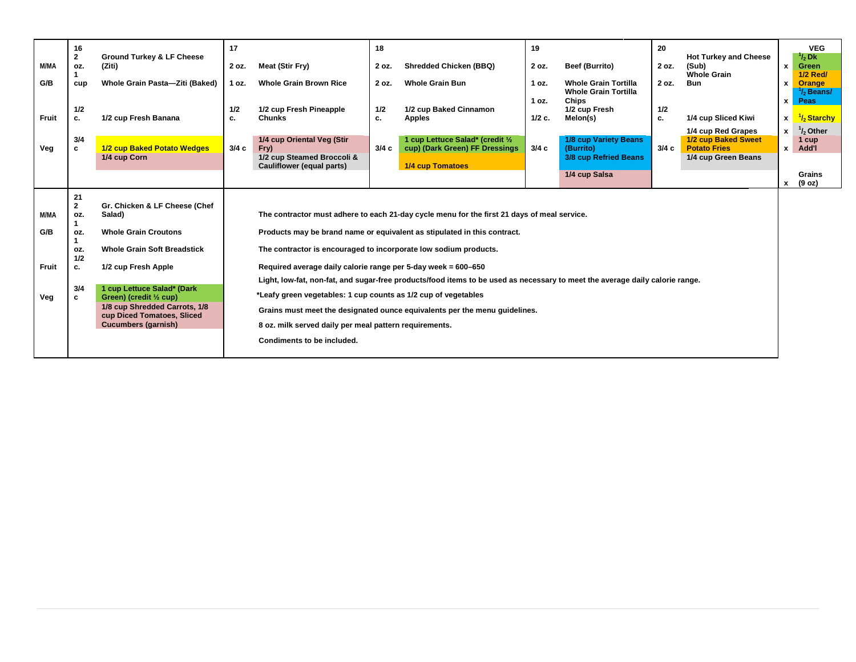| M/MA<br>G/B<br>Fruit               | 16<br>$\mathbf{2}$<br>OZ.<br>cup<br>1/2<br>c.                    | <b>Ground Turkey &amp; LF Cheese</b><br>(Ziti)<br>Whole Grain Pasta-Ziti (Baked)<br>1/2 cup Fresh Banana                                                                                                                                                                                  | 17<br>2 oz.<br>1 oz.<br>1/2<br>c. | Meat (Stir Fry)<br><b>Whole Grain Brown Rice</b><br>1/2 cup Fresh Pineapple<br><b>Chunks</b>                                                                                                                                                                                                | 18<br>2 oz.<br>2 oz.<br>1/2<br>c. | <b>Shredded Chicken (BBQ)</b><br><b>Whole Grain Bun</b><br>1/2 cup Baked Cinnamon<br><b>Apples</b>                                                                                                                                                                                                                                                                                    | 19<br>2 oz.<br>1 oz.<br>1 oz.<br>$1/2$ c. | <b>Beef (Burrito)</b><br><b>Whole Grain Tortilla</b><br><b>Whole Grain Tortilla</b><br><b>Chips</b><br>1/2 cup Fresh<br>Melon(s) | 20<br>2 oz.<br>2 oz.<br>1/2<br>с. | <b>Hot Turkey and Cheese</b><br>(Sub)<br><b>Whole Grain</b><br><b>Bun</b><br>1/4 cup Sliced Kiwi<br>1/4 cup Red Grapes | $\mathbf{x}$<br>x<br>x<br>x<br>$\mathbf{x}$ | <b>VEG</b><br>$\frac{1}{2}Dk$<br>Green<br><b>1/2 Red/</b><br>Orange<br>$^1\!/2$ Beans/ $^-$<br>Peas<br>$\frac{1}{2}$ Starchy<br>$1/2$ Other |
|------------------------------------|------------------------------------------------------------------|-------------------------------------------------------------------------------------------------------------------------------------------------------------------------------------------------------------------------------------------------------------------------------------------|-----------------------------------|---------------------------------------------------------------------------------------------------------------------------------------------------------------------------------------------------------------------------------------------------------------------------------------------|-----------------------------------|---------------------------------------------------------------------------------------------------------------------------------------------------------------------------------------------------------------------------------------------------------------------------------------------------------------------------------------------------------------------------------------|-------------------------------------------|----------------------------------------------------------------------------------------------------------------------------------|-----------------------------------|------------------------------------------------------------------------------------------------------------------------|---------------------------------------------|---------------------------------------------------------------------------------------------------------------------------------------------|
| Veg                                | 3/4<br>c                                                         | 1/2 cup Baked Potato Wedges<br>1/4 cup Corn                                                                                                                                                                                                                                               | 3/4c                              | 1/4 cup Oriental Veg (Stir<br>Fry)<br>1/2 cup Steamed Broccoli &<br>Cauliflower (equal parts)                                                                                                                                                                                               | 3/4c                              | 1 cup Lettuce Salad* (credit 1/2<br>cup) (Dark Green) FF Dressings<br>1/4 cup Tomatoes                                                                                                                                                                                                                                                                                                | 3/4c                                      | 1/8 cup Variety Beans<br>(Burrito)<br>3/8 cup Refried Beans<br>1/4 cup Salsa                                                     | 3/4c                              | 1/2 cup Baked Sweet<br><b>Potato Fries</b><br>1/4 cup Green Beans                                                      | $\pmb{\mathsf{x}}$<br>X                     | 1 cup<br>Add'l<br>Grains<br>(9 oz)                                                                                                          |
| M/MA<br>G/B<br><b>Fruit</b><br>Veg | 21<br>$\mathbf{2}$<br>OZ.<br>OZ.<br>OZ.<br>1/2<br>c.<br>3/4<br>c | Gr. Chicken & LF Cheese (Chef<br>Salad)<br><b>Whole Grain Croutons</b><br><b>Whole Grain Soft Breadstick</b><br>1/2 cup Fresh Apple<br>1 cup Lettuce Salad* (Dark<br>Green) (credit 1/2 cup)<br>1/8 cup Shredded Carrots, 1/8<br>cup Diced Tomatoes, Sliced<br><b>Cucumbers (garnish)</b> |                                   | The contractor is encouraged to incorporate low sodium products.<br>Required average daily calorie range per 5-day week = 600-650<br>*Leafy green vegetables: 1 cup counts as 1/2 cup of vegetables<br>8 oz. milk served daily per meal pattern requirements.<br>Condiments to be included. |                                   | The contractor must adhere to each 21-day cycle menu for the first 21 days of meal service.<br>Products may be brand name or equivalent as stipulated in this contract.<br>Light, low-fat, non-fat, and sugar-free products/food items to be used as necessary to meet the average daily calorie range.<br>Grains must meet the designated ounce equivalents per the menu guidelines. |                                           |                                                                                                                                  |                                   |                                                                                                                        |                                             |                                                                                                                                             |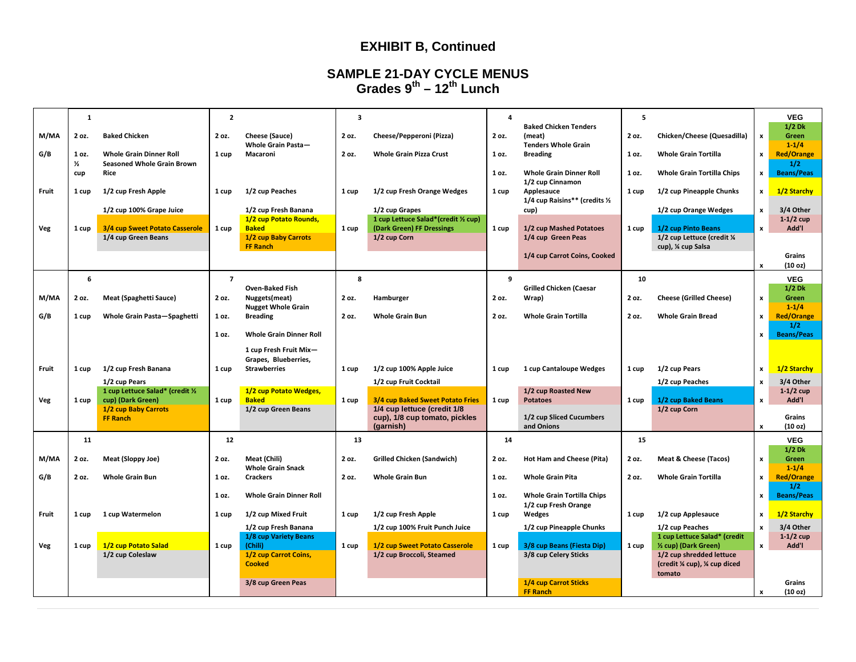## **EXHIBIT B, Continued**

#### **SAMPLE 21-DAY CYCLE MENUS Grades 9th – 12th Lunch**

|       | $\mathbf{1}$           |                                                                     | $\overline{2}$ |                                                         | 3     |                                                                 | 4       |                                                                      | 5               |                                                                           |                    | <b>VEG</b>                     |
|-------|------------------------|---------------------------------------------------------------------|----------------|---------------------------------------------------------|-------|-----------------------------------------------------------------|---------|----------------------------------------------------------------------|-----------------|---------------------------------------------------------------------------|--------------------|--------------------------------|
| M/MA  | 2 oz.                  | <b>Baked Chicken</b>                                                | 2 oz.          | Cheese (Sauce)<br>Whole Grain Pasta-                    | 2 oz. | Cheese/Pepperoni (Pizza)                                        | 2 oz.   | <b>Baked Chicken Tenders</b><br>(meat)<br><b>Tenders Whole Grain</b> | 2 oz.           | Chicken/Cheese (Quesadilla)                                               | $\pmb{\mathsf{x}}$ | $1/2$ Dk<br>Green<br>$1 - 1/4$ |
| G/B   | 1 oz.<br>$\frac{1}{2}$ | <b>Whole Grain Dinner Roll</b><br><b>Seasoned Whole Grain Brown</b> | 1 cup          | Macaroni                                                | 2 oz. | <b>Whole Grain Pizza Crust</b>                                  | 1 oz.   | <b>Breading</b>                                                      | 1 <sub>0z</sub> | <b>Whole Grain Tortilla</b>                                               | $\mathbf{x}$       | <b>Red/Orange</b><br>1/2       |
|       | cup                    | Rice                                                                |                |                                                         |       |                                                                 | $10z$ . | <b>Whole Grain Dinner Roll</b><br>1/2 cup Cinnamon                   | 1 oz.           | <b>Whole Grain Tortilla Chips</b>                                         | $\mathbf{x}$       | <b>Beans/Peas</b>              |
| Fruit | 1 cup                  | 1/2 cup Fresh Apple                                                 | 1 cup          | 1/2 cup Peaches                                         | 1 cup | 1/2 cup Fresh Orange Wedges                                     | 1 cup   | Applesauce<br>1/4 cup Raisins** (credits 1/2                         | 1 cup           | 1/2 cup Pineapple Chunks                                                  | $\boldsymbol{x}$   | 1/2 Starchy                    |
|       |                        | 1/2 cup 100% Grape Juice                                            |                | 1/2 cup Fresh Banana<br>1/2 cup Potato Rounds,          |       | 1/2 cup Grapes<br>1 cup Lettuce Salad*(credit ½ cup)            |         | cup)                                                                 |                 | 1/2 cup Orange Wedges                                                     | $\pmb{\mathsf{x}}$ | 3/4 Other<br>$1-1/2$ cup       |
| Veg   | 1 cup                  | 3/4 cup Sweet Potato Casserole<br>1/4 cup Green Beans               | 1 cup          | <b>Baked</b><br>1/2 cup Baby Carrots<br><b>FF Ranch</b> | 1 cup | (Dark Green) FF Dressings<br>1/2 cup Corn                       | 1 cup   | 1/2 cup Mashed Potatoes<br>1/4 cup Green Peas                        | 1 cup           | 1/2 cup Pinto Beans<br>1/2 cup Lettuce (credit 1/4<br>cup), 1/4 cup Salsa | $\pmb{\mathsf{x}}$ | Add'l                          |
|       |                        |                                                                     |                |                                                         |       |                                                                 |         | 1/4 cup Carrot Coins, Cooked                                         |                 |                                                                           | $\pmb{\mathsf{x}}$ | Grains<br>(10 <sub>oz</sub> )  |
|       | 6                      |                                                                     | $\overline{7}$ |                                                         | 8     |                                                                 | 9       |                                                                      | 10              |                                                                           |                    | <b>VEG</b>                     |
|       |                        |                                                                     |                | <b>Oven-Baked Fish</b>                                  |       |                                                                 |         | <b>Grilled Chicken (Caesar</b>                                       |                 |                                                                           |                    | $1/2$ Dk                       |
| M/MA  | 2 oz.                  | Meat (Spaghetti Sauce)                                              | 2 oz.          | Nuggets(meat)<br><b>Nugget Whole Grain</b>              | 2 oz. | Hamburger                                                       | 2 oz.   | Wrap)                                                                | 2 oz.           | <b>Cheese (Grilled Cheese)</b>                                            | $\pmb{\mathsf{x}}$ | Green<br>$1 - 1/4$             |
| G/B   | 1 cup                  | Whole Grain Pasta-Spaghetti                                         | 1 oz.          | <b>Breading</b>                                         | 2 oz. | <b>Whole Grain Bun</b>                                          | 2 oz.   | <b>Whole Grain Tortilla</b>                                          | 2 oz.           | <b>Whole Grain Bread</b>                                                  | $\mathbf{x}$       | <b>Red/Orange</b><br>1/2       |
|       |                        |                                                                     | 1 oz.          | <b>Whole Grain Dinner Roll</b>                          |       |                                                                 |         |                                                                      |                 |                                                                           | $\mathbf{x}$       | <b>Beans/Peas</b>              |
|       |                        |                                                                     |                | 1 cup Fresh Fruit Mix-                                  |       |                                                                 |         |                                                                      |                 |                                                                           |                    |                                |
| Fruit | 1 cup                  | 1/2 cup Fresh Banana                                                | 1 cup          | Grapes, Blueberries,<br><b>Strawberries</b>             | 1 cup | 1/2 cup 100% Apple Juice                                        | 1 cup   | 1 cup Cantaloupe Wedges                                              | 1 cup           | 1/2 cup Pears                                                             | $\pmb{\mathsf{x}}$ | 1/2 Starchy                    |
|       |                        | 1/2 cup Pears                                                       |                |                                                         |       | 1/2 cup Fruit Cocktail                                          |         |                                                                      |                 | 1/2 cup Peaches                                                           | $\pmb{\mathsf{x}}$ | 3/4 Other                      |
|       |                        | 1 cup Lettuce Salad* (credit 1/2                                    |                | 1/2 cup Potato Wedges,                                  |       |                                                                 |         | 1/2 cup Roasted New                                                  |                 |                                                                           |                    | $1-1/2$ cup                    |
| Veg   | 1 cup                  | cup) (Dark Green)<br>1/2 cup Baby Carrots                           | 1 cup          | <b>Baked</b><br>1/2 cup Green Beans                     | 1 cup | 3/4 cup Baked Sweet Potato Fries<br>1/4 cup lettuce (credit 1/8 | 1 cup   | <b>Potatoes</b>                                                      | 1 cup           | 1/2 cup Baked Beans<br>1/2 cup Corn                                       | $\pmb{\mathsf{x}}$ | Add'l                          |
|       |                        | FF Ranch                                                            |                |                                                         |       | cup), 1/8 cup tomato, pickles                                   |         | 1/2 cup Sliced Cucumbers                                             |                 |                                                                           |                    | Grains                         |
|       |                        |                                                                     |                |                                                         |       | (garnish)                                                       |         | and Onions                                                           |                 |                                                                           | $\pmb{\mathsf{x}}$ | (10 <sub>oz</sub> )            |
|       | 11                     |                                                                     | 12             |                                                         | 13    |                                                                 | 14      |                                                                      | 15              |                                                                           |                    | <b>VEG</b>                     |
| M/MA  | 2 oz.                  | Meat (Sloppy Joe)                                                   | 2 oz.          | Meat (Chili)                                            | 2 oz. | <b>Grilled Chicken (Sandwich)</b>                               | 2 oz.   | Hot Ham and Cheese (Pita)                                            | 2 oz.           | <b>Meat &amp; Cheese (Tacos)</b>                                          | $\pmb{\mathsf{x}}$ | $1/2$ Dk<br><b>Green</b>       |
|       |                        |                                                                     |                | <b>Whole Grain Snack</b>                                |       |                                                                 |         |                                                                      |                 |                                                                           |                    | $1 - 1/4$                      |
| G/B   | 2 oz.                  | <b>Whole Grain Bun</b>                                              | 1 oz.          | <b>Crackers</b>                                         | 2 oz. | <b>Whole Grain Bun</b>                                          | 1 oz.   | <b>Whole Grain Pita</b>                                              | 2 oz.           | <b>Whole Grain Tortilla</b>                                               | $\pmb{\mathsf{x}}$ | <b>Red/Orange</b><br>1/2       |
|       |                        |                                                                     | 1 oz.          | <b>Whole Grain Dinner Roll</b>                          |       |                                                                 | 1 oz.   | <b>Whole Grain Tortilla Chips</b>                                    |                 |                                                                           | $\mathbf{x}$       | <b>Beans/Peas</b>              |
| Fruit | 1 cup                  | 1 cup Watermelon                                                    | 1 cup          | 1/2 cup Mixed Fruit                                     | 1 cup | 1/2 cup Fresh Apple                                             | 1 cup   | 1/2 cup Fresh Orange<br>Wedges                                       | 1 cup           | 1/2 cup Applesauce                                                        | $\pmb{\mathsf{x}}$ | 1/2 Starchy                    |
|       |                        |                                                                     |                | 1/2 cup Fresh Banana                                    |       | 1/2 cup 100% Fruit Punch Juice                                  |         | 1/2 cup Pineapple Chunks                                             |                 | 1/2 cup Peaches                                                           | $\pmb{\mathsf{x}}$ | 3/4 Other                      |
|       |                        |                                                                     |                | 1/8 cup Variety Beans                                   |       |                                                                 |         |                                                                      |                 | 1 cup Lettuce Salad* (credit                                              |                    | $1-1/2$ cup                    |
| Veg   | 1 cup                  | 1/2 cup Potato Salad                                                | 1 cup          | (Chili)                                                 | 1 cup | 1/2 cup Sweet Potato Casserole                                  | 1 cup   | 3/8 cup Beans (Fiesta Dip)                                           | 1 cup           | 1/2 cup) (Dark Green)                                                     | $\mathbf{x}$       | Add'l                          |
|       |                        | 1/2 cup Coleslaw                                                    |                | 1/2 cup Carrot Coins,<br><b>Cooked</b>                  |       | 1/2 cup Broccoli, Steamed                                       |         | 3/8 cup Celery Sticks                                                |                 | 1/2 cup shredded lettuce<br>(credit % cup), % cup diced<br>tomato         |                    |                                |
|       |                        |                                                                     |                | 3/8 cup Green Peas                                      |       |                                                                 |         | 1/4 cup Carrot Sticks                                                |                 |                                                                           |                    | Grains                         |
|       |                        |                                                                     |                |                                                         |       |                                                                 |         | FF Ranch                                                             |                 |                                                                           | $\boldsymbol{x}$   | (10 oz)                        |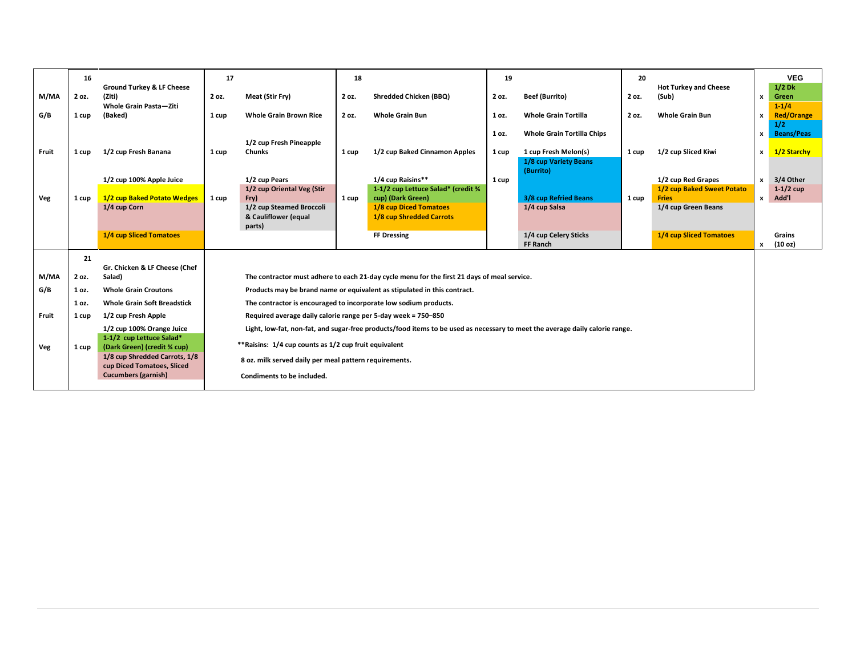|       | 16    |                                                             | 17                                                            | 18    |                                                                                                                              | 19    |                                               | 20    |                                            |              | <b>VEG</b>               |
|-------|-------|-------------------------------------------------------------|---------------------------------------------------------------|-------|------------------------------------------------------------------------------------------------------------------------------|-------|-----------------------------------------------|-------|--------------------------------------------|--------------|--------------------------|
| M/MA  | 2 oz. | <b>Ground Turkey &amp; LF Cheese</b><br>(Ziti)              | Meat (Stir Fry)<br>2 oz.                                      | 2 oz. | <b>Shredded Chicken (BBQ)</b>                                                                                                | 2 oz. | <b>Beef (Burrito)</b>                         | 2 oz. | <b>Hot Turkey and Cheese</b><br>(Sub)      | $\mathbf{x}$ | $1/2$ Dk<br>Green        |
|       |       | <b>Whole Grain Pasta-Ziti</b>                               |                                                               |       |                                                                                                                              |       |                                               |       |                                            |              | $1 - 1/4$                |
| G/B   | 1 cup | (Baked)                                                     | <b>Whole Grain Brown Rice</b><br>1 cup                        | 2 oz. | <b>Whole Grain Bun</b>                                                                                                       | 1 oz. | <b>Whole Grain Tortilla</b>                   | 2 oz. | <b>Whole Grain Bun</b>                     | x            | <b>Red/Orange</b><br>1/2 |
|       |       |                                                             |                                                               |       |                                                                                                                              | 1 oz. | <b>Whole Grain Tortilla Chips</b>             |       |                                            | $\mathbf{x}$ | <b>Beans/Peas</b>        |
|       |       |                                                             | 1/2 cup Fresh Pineapple                                       |       |                                                                                                                              |       |                                               |       |                                            |              |                          |
| Fruit | 1 cup | 1/2 cup Fresh Banana                                        | <b>Chunks</b><br>1 cup                                        | 1 cup | 1/2 cup Baked Cinnamon Apples                                                                                                | 1 cup | 1 cup Fresh Melon(s)<br>1/8 cup Variety Beans | 1 cup | 1/2 cup Sliced Kiwi                        | $\mathbf{x}$ | 1/2 Starchy              |
|       |       |                                                             |                                                               |       |                                                                                                                              |       | (Burrito)                                     |       |                                            |              |                          |
|       |       | 1/2 cup 100% Apple Juice                                    | 1/2 cup Pears                                                 |       | 1/4 cup Raisins**                                                                                                            | 1 cup |                                               |       | 1/2 cup Red Grapes                         | $\mathbf{x}$ | 3/4 Other                |
| Veg   | 1 cup | 1/2 cup Baked Potato Wedges                                 | 1/2 cup Oriental Veg (Stir<br>Fry)<br>1 cup                   | 1 cup | 1-1/2 cup Lettuce Salad* (credit %<br>cup) (Dark Green)                                                                      |       | 3/8 cup Refried Beans                         | 1 cup | 1/2 cup Baked Sweet Potato<br><b>Fries</b> | x            | $1-1/2$ cup<br>Add'l     |
|       |       | 1/4 cup Corn                                                | 1/2 cup Steamed Broccoli                                      |       | <b>1/8 cup Diced Tomatoes</b>                                                                                                |       | 1/4 cup Salsa                                 |       | 1/4 cup Green Beans                        |              |                          |
|       |       |                                                             | & Cauliflower (equal                                          |       | 1/8 cup Shredded Carrots                                                                                                     |       |                                               |       |                                            |              |                          |
|       |       | <b>1/4 cup Sliced Tomatoes</b>                              | parts)                                                        |       | <b>FF Dressing</b>                                                                                                           |       | 1/4 cup Celery Sticks                         |       | 1/4 cup Sliced Tomatoes                    |              | Grains                   |
|       |       |                                                             |                                                               |       |                                                                                                                              |       | <b>FF Ranch</b>                               |       |                                            | x            | (10 <sub>oz</sub> )      |
|       | 21    |                                                             |                                                               |       |                                                                                                                              |       |                                               |       |                                            |              |                          |
|       |       | Gr. Chicken & LF Cheese (Chef                               |                                                               |       |                                                                                                                              |       |                                               |       |                                            |              |                          |
| M/MA  | 2 oz. | Salad)                                                      |                                                               |       | The contractor must adhere to each 21-day cycle menu for the first 21 days of meal service.                                  |       |                                               |       |                                            |              |                          |
| G/B   | 1 oz. | <b>Whole Grain Croutons</b>                                 |                                                               |       | Products may be brand name or equivalent as stipulated in this contract.                                                     |       |                                               |       |                                            |              |                          |
|       | 1 oz. | <b>Whole Grain Soft Breadstick</b>                          |                                                               |       | The contractor is encouraged to incorporate low sodium products.                                                             |       |                                               |       |                                            |              |                          |
| Fruit | 1 cup | 1/2 cup Fresh Apple                                         | Required average daily calorie range per 5-day week = 750-850 |       |                                                                                                                              |       |                                               |       |                                            |              |                          |
|       |       | 1/2 cup 100% Orange Juice<br>1-1/2 cup Lettuce Salad*       |                                                               |       | Light, low-fat, non-fat, and sugar-free products/food items to be used as necessary to meet the average daily calorie range. |       |                                               |       |                                            |              |                          |
| Veg   | 1 cup | (Dark Green) (credit % cup)                                 | ** Raisins: 1/4 cup counts as 1/2 cup fruit equivalent        |       |                                                                                                                              |       |                                               |       |                                            |              |                          |
|       |       | 1/8 cup Shredded Carrots, 1/8<br>cup Diced Tomatoes, Sliced | 8 oz. milk served daily per meal pattern requirements.        |       |                                                                                                                              |       |                                               |       |                                            |              |                          |
|       |       | <b>Cucumbers (garnish)</b>                                  | Condiments to be included.                                    |       |                                                                                                                              |       |                                               |       |                                            |              |                          |
|       |       |                                                             |                                                               |       |                                                                                                                              |       |                                               |       |                                            |              |                          |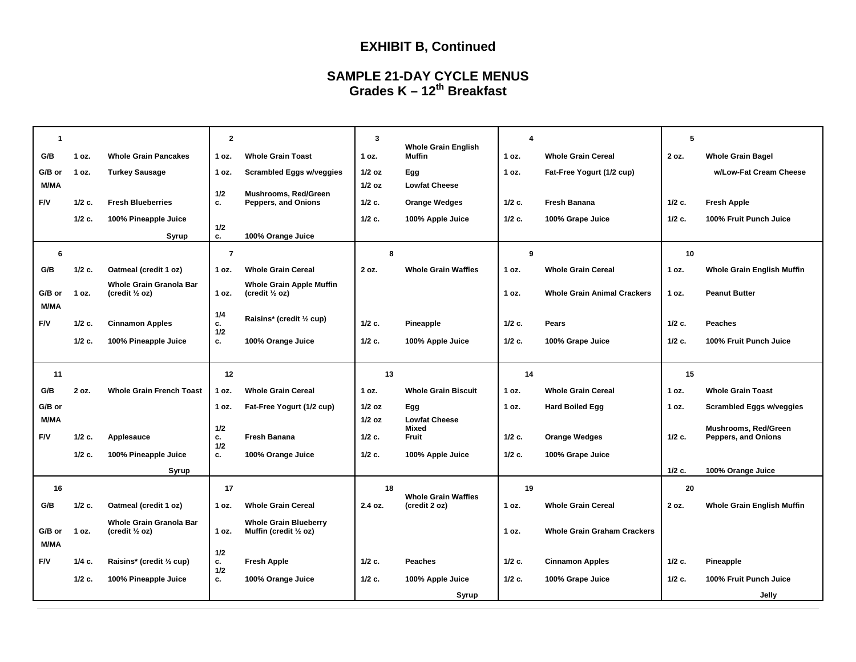## **EXHIBIT B, Continued**

#### **SAMPLE 21-DAY CYCLE MENUS Grades K – 12th Breakfast**

| 1<br>G/B              | 1 oz.    | <b>Whole Grain Pancakes</b>                                 | $\mathbf{2}$<br>1 oz. | <b>Whole Grain Toast</b>                                     | 3<br>1 oz.           | <b>Whole Grain English</b><br>Muffin        | $\overline{4}$<br>1 oz. | <b>Whole Grain Cereal</b>          | 5<br>2 oz. | <b>Whole Grain Bagel</b>                    |
|-----------------------|----------|-------------------------------------------------------------|-----------------------|--------------------------------------------------------------|----------------------|---------------------------------------------|-------------------------|------------------------------------|------------|---------------------------------------------|
| G/B or<br><b>M/MA</b> | 1 oz.    | <b>Turkey Sausage</b>                                       | 1 oz.                 | <b>Scrambled Eggs w/veggies</b>                              | $1/2$ oz<br>$1/2$ oz | Egg<br><b>Lowfat Cheese</b>                 | 1 oz.                   | Fat-Free Yogurt (1/2 cup)          |            | w/Low-Fat Cream Cheese                      |
| F/V                   | $1/2$ c. | <b>Fresh Blueberries</b>                                    | 1/2<br>c.             | Mushrooms, Red/Green<br>Peppers, and Onions                  | $1/2$ c.             | <b>Orange Wedges</b>                        | $1/2$ c.                | Fresh Banana                       | $1/2$ c.   | <b>Fresh Apple</b>                          |
|                       | $1/2$ c. | 100% Pineapple Juice                                        | 1/2                   |                                                              | $1/2$ c.             | 100% Apple Juice                            | $1/2$ c.                | 100% Grape Juice                   | $1/2$ c.   | 100% Fruit Punch Juice                      |
|                       |          | Syrup                                                       | c.                    | 100% Orange Juice                                            |                      |                                             |                         |                                    |            |                                             |
| 6                     |          |                                                             | $\overline{7}$        |                                                              | 8                    |                                             | 9                       |                                    | 10         |                                             |
| G/B                   | $1/2$ c. | Oatmeal (credit 1 oz)                                       | 1 oz.                 | <b>Whole Grain Cereal</b>                                    | 2 oz.                | <b>Whole Grain Waffles</b>                  | 1 oz.                   | <b>Whole Grain Cereal</b>          | 1 oz.      | <b>Whole Grain English Muffin</b>           |
| G/B or<br><b>M/MA</b> | 1 oz.    | Whole Grain Granola Bar<br>(credit $\frac{1}{2}$ oz)        | 1 oz.                 | <b>Whole Grain Apple Muffin</b><br>(credit $\frac{1}{2}$ oz) |                      |                                             | 1 oz.                   | <b>Whole Grain Animal Crackers</b> | 1 oz.      | <b>Peanut Butter</b>                        |
| F/V                   | $1/2$ c. | <b>Cinnamon Apples</b>                                      | 1/4<br>c.<br>1/2      | Raisins* (credit 1/2 cup)                                    | $1/2$ c.             | Pineapple                                   | $1/2$ c.                | Pears                              | $1/2$ c.   | <b>Peaches</b>                              |
|                       | $1/2$ c. | 100% Pineapple Juice                                        | с.                    | 100% Orange Juice                                            | $1/2$ c.             | 100% Apple Juice                            | $1/2$ c.                | 100% Grape Juice                   | $1/2$ c.   | 100% Fruit Punch Juice                      |
|                       |          |                                                             |                       |                                                              |                      |                                             |                         |                                    |            |                                             |
| 11                    |          |                                                             | 12                    |                                                              | 13                   |                                             | 14                      |                                    | 15         |                                             |
| G/B                   | 2 oz.    | <b>Whole Grain French Toast</b>                             | 1 oz.                 | <b>Whole Grain Cereal</b>                                    | 1 oz.                | <b>Whole Grain Biscuit</b>                  | 1 oz.                   | <b>Whole Grain Cereal</b>          | 1 oz.      | <b>Whole Grain Toast</b>                    |
| G/B or                |          |                                                             | 1 oz.                 | Fat-Free Yogurt (1/2 cup)                                    | $1/2$ oz             | Egg                                         | 1 oz.                   | <b>Hard Boiled Egg</b>             | 1 oz.      | <b>Scrambled Eggs w/veggies</b>             |
| M/MA                  |          |                                                             |                       |                                                              | $1/2$ oz             | <b>Lowfat Cheese</b>                        |                         |                                    |            |                                             |
| F/V                   | $1/2$ c. | Applesauce                                                  | 1/2<br>c.             | <b>Fresh Banana</b>                                          | $1/2$ c.             | Mixed<br>Fruit                              | $1/2$ c.                | <b>Orange Wedges</b>               | $1/2$ c.   | Mushrooms, Red/Green<br>Peppers, and Onions |
|                       | $1/2$ c. | 100% Pineapple Juice                                        | 1/2<br>c.             | 100% Orange Juice                                            | $1/2$ c.             | 100% Apple Juice                            | $1/2$ c.                | 100% Grape Juice                   |            |                                             |
|                       |          | Syrup                                                       |                       |                                                              |                      |                                             |                         |                                    | $1/2$ c.   | 100% Orange Juice                           |
| 16                    |          |                                                             | 17                    |                                                              | 18                   |                                             | 19                      |                                    | 20         |                                             |
| G/B                   | $1/2$ c. | Oatmeal (credit 1 oz)                                       | 1 oz.                 | <b>Whole Grain Cereal</b>                                    | 2.4 oz.              | <b>Whole Grain Waffles</b><br>(credit 2 oz) | 1 oz.                   | <b>Whole Grain Cereal</b>          | 2 oz.      | <b>Whole Grain English Muffin</b>           |
| G/B or                | 1 oz.    | <b>Whole Grain Granola Bar</b><br>(credit $\frac{1}{2}$ oz) | 1 oz.                 | <b>Whole Grain Blueberry</b><br>Muffin (credit 1/2 oz)       |                      |                                             | 1 oz.                   | <b>Whole Grain Graham Crackers</b> |            |                                             |
| <b>M/MA</b>           |          |                                                             | 1/2                   |                                                              |                      |                                             |                         |                                    |            |                                             |
| F/V                   | 1/4 с.   | Raisins* (credit 1/2 cup)                                   | c.<br>1/2             | <b>Fresh Apple</b>                                           | $1/2$ c.             | <b>Peaches</b>                              | $1/2$ c.                | <b>Cinnamon Apples</b>             | $1/2$ c.   | Pineapple                                   |
|                       | $1/2$ c. | 100% Pineapple Juice                                        | c.                    | 100% Orange Juice                                            | $1/2$ c.             | 100% Apple Juice<br>Syrup                   | $1/2$ c.                | 100% Grape Juice                   | $1/2$ c.   | 100% Fruit Punch Juice<br>Jelly             |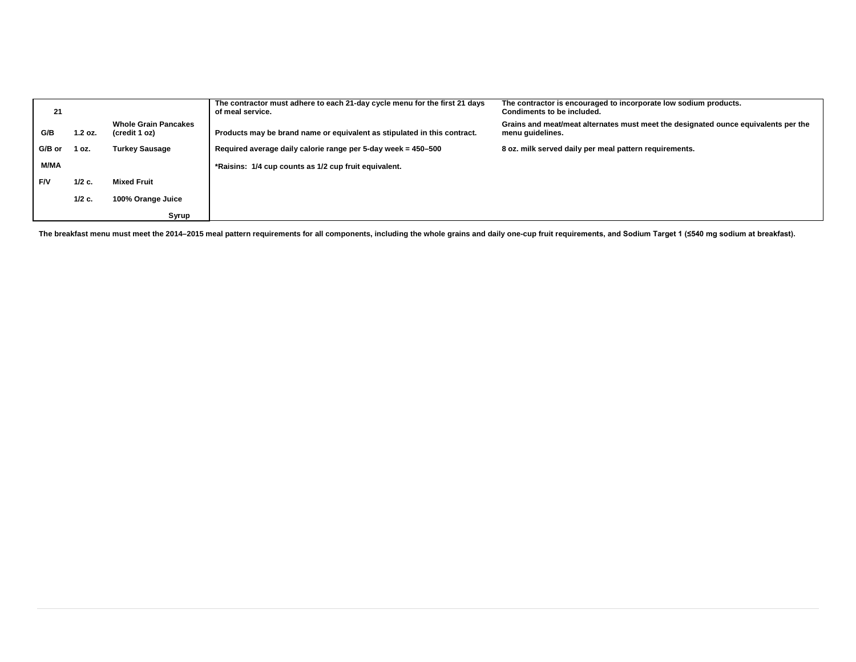| 21         |          |                                              | The contractor must adhere to each 21-day cycle menu for the first 21 days<br>of meal service. | The contractor is encouraged to incorporate low sodium products.<br>Condiments to be included.         |
|------------|----------|----------------------------------------------|------------------------------------------------------------------------------------------------|--------------------------------------------------------------------------------------------------------|
| G/B        | 1.2 oz.  | <b>Whole Grain Pancakes</b><br>(credit 1 oz) | Products may be brand name or equivalent as stipulated in this contract.                       | Grains and meat/meat alternates must meet the designated ounce equivalents per the<br>menu guidelines. |
| G/B or     | 1 oz.    | <b>Turkey Sausage</b>                        | Required average daily calorie range per 5-day week = 450-500                                  | 8 oz. milk served daily per meal pattern requirements.                                                 |
| M/MA       |          |                                              | *Raisins: 1/4 cup counts as 1/2 cup fruit equivalent.                                          |                                                                                                        |
| <b>F/V</b> | $1/2$ c. | <b>Mixed Fruit</b>                           |                                                                                                |                                                                                                        |
|            | $1/2$ c. | 100% Orange Juice                            |                                                                                                |                                                                                                        |
|            |          | Syrup                                        |                                                                                                |                                                                                                        |

The breakfast menu must meet the 2014–2015 meal pattern requirements for all components, including the whole grains and daily one-cup fruit requirements, and Sodium Target 1 (≤540 mg sodium at breakfast).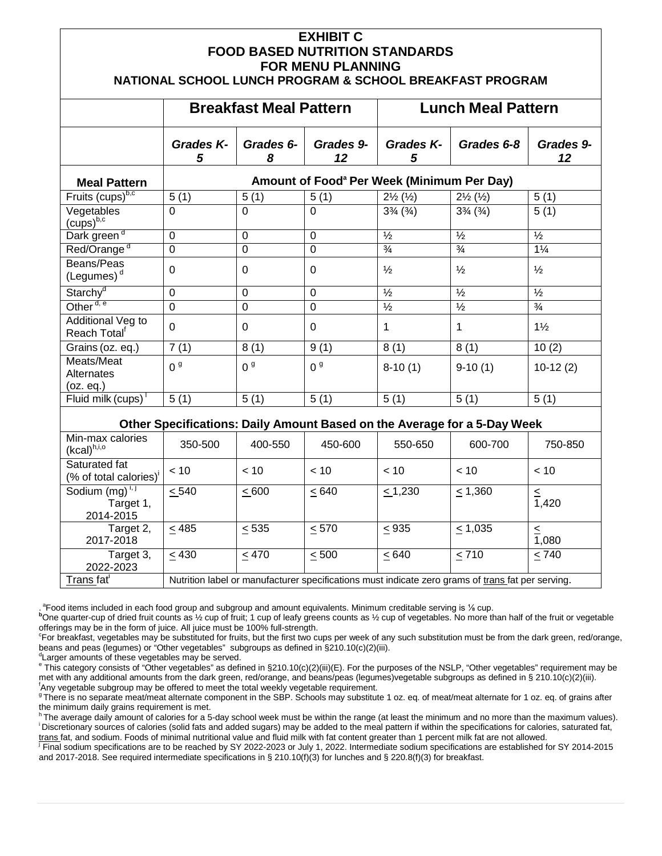#### **EXHIBIT C FOOD BASED NUTRITION STANDARDS FOR MENU PLANNING**

#### **NATIONAL SCHOOL LUNCH PROGRAM & SCHOOL BREAKFAST PROGRAM**

|                                               | <b>Breakfast Meal Pattern</b>                          |                | <b>Lunch Meal Pattern</b> |                                  |                                  |                 |
|-----------------------------------------------|--------------------------------------------------------|----------------|---------------------------|----------------------------------|----------------------------------|-----------------|
|                                               | Grades K-<br>5                                         | Grades 6-<br>8 | Grades 9-<br>12           | Grades K-<br>5                   | Grades 6-8                       | Grades 9-<br>12 |
| <b>Meal Pattern</b>                           | Amount of Food <sup>a</sup> Per Week (Minimum Per Day) |                |                           |                                  |                                  |                 |
| Fruits $(cups)^{b,c}$                         | 5(1)                                                   | 5(1)           | 5(1)                      | $2\frac{1}{2}$ $(\frac{1}{2})$   | $2\frac{1}{2}$ $(\frac{1}{2})$   | 5(1)            |
| Vegetables<br>$(cups)^{b,c}$                  | $\Omega$                                               | $\Omega$       | 0                         | $3\frac{3}{4}$ ( $\frac{3}{4}$ ) | $3\frac{3}{4}$ ( $\frac{3}{4}$ ) | 5(1)            |
| Dark green <sup>d</sup>                       | $\overline{0}$                                         | $\Omega$       | 0                         | $\frac{1}{2}$                    | $\frac{1}{2}$                    | $\frac{1}{2}$   |
| Red/Orange <sup>d</sup>                       | $\overline{0}$                                         | $\Omega$       | 0                         | $\frac{3}{4}$                    | $\frac{3}{4}$                    | $1\frac{1}{4}$  |
| Beans/Peas<br>(Legumes) $d$                   | $\Omega$                                               | $\Omega$       | $\Omega$                  | $\frac{1}{2}$                    | $\frac{1}{2}$                    | $\frac{1}{2}$   |
| Starchy <sup>d</sup>                          | $\Omega$                                               | $\Omega$       | 0                         | $\frac{1}{2}$                    | $\frac{1}{2}$                    | $\frac{1}{2}$   |
| Other <sup>d, e</sup>                         | $\Omega$                                               | $\Omega$       | 0                         | $\frac{1}{2}$                    | $\frac{1}{2}$                    | $\frac{3}{4}$   |
| Additional Veg to<br>Reach Total <sup>t</sup> | $\Omega$                                               | $\Omega$       | $\Omega$                  | 1                                | 1                                | $1\frac{1}{2}$  |
| Grains (oz. eq.)                              | 7(1)                                                   | 8(1)           | 9(1)                      | 8(1)                             | 8(1)                             | 10(2)           |
| Meats/Meat<br>Alternates<br>(oz. eq.)         | 0 <sup>9</sup>                                         | 0 <sup>9</sup> | 0 <sup>9</sup>            | $8-10(1)$                        | $9-10(1)$                        | $10-12(2)$      |
| Fluid milk (cups)                             | 5(1)                                                   | 5(1)           | 5(1)                      | 5(1)                             | 5(1)                             | 5(1)            |

#### **Other Specifications: Daily Amount Based on the Average for a 5-Day Week**

| Min-max calories<br>$(kcal)^{h,i,o}$                | 350-500                                                                                           | 400-550    | 450-600    | 550-650    | 600-700      | 750-850 |
|-----------------------------------------------------|---------------------------------------------------------------------------------------------------|------------|------------|------------|--------------|---------|
| Saturated fat<br>(% of total calories) <sup>i</sup> | $~<$ 10                                                                                           | < 10       | < 10       | < 10       | < 10         | < 10    |
| Sodium $(mg)^{1,1}$<br>Target 1,<br>2014-2015       | < 540                                                                                             | < 600      | < 640      | < 1,230    | $\leq 1,360$ | 1,420   |
| Target 2,<br>2017-2018                              | < 485                                                                                             | < 535      | $\leq 570$ | $\leq$ 935 | $\leq 1,035$ | 1,080   |
| Target 3,<br>2022-2023                              | < 430                                                                                             | $\leq$ 470 | $\leq 500$ | $\leq 640$ | $\leq 710$   | < 740   |
| Trans fat <sup>i</sup>                              | Nutrition label or manufacturer specifications must indicate zero grams of trans fat per serving. |            |            |            |              |         |

a Food items included in each food group and subgroup and amount equivalents. Minimum creditable serving is ⅓ cup.<br>Pope quarter aup of dried fruit equate as 1⁄ cup of truit: 1 cup of logh groops equate as 1⁄ cup of vegata

<sup>b</sup>One quarter-cup of dried fruit counts as 1/2 cup of fruit; 1 cup of leafy greens counts as 1/2 cup of vegetables. No more than half of the fruit or vegetable offerings may be in the form of juice. All juice must be 100% full-strength.

For breakfast, vegetables may be substituted for fruits, but the first two cups per week of any such substitution must be from the dark green, red/orange, beans and peas (legumes) or "Other vegetables" subgroups as defined in §210.10(c)(2)(iii).

Larger amounts of these vegetables may be served.

Larger amounts of these vegetables as defined in §210.10(c)(2)(iii)(E). For the purposes of the NSLP, "Other vegetables" requirement may be met with any additional amounts from the dark green, red/orange, and beans/peas (legumes)vegetable subgroups as defined in § 210.10(c)(2)(iii). <sup>f</sup> Any vegetable subgroup may be offered to meet the total weekly vegetable requirement.

<sup>9</sup>There is no separate meat/meat alternate component in the SBP. Schools may substitute 1 oz. eq. of meat/meat alternate for 1 oz. eq. of grains after the minimum daily grains requirement is met.

h The average daily amount of calories for a 5-day school week must be within the range (at least the minimum and no more than the maximum values).<br>I Discretionary sources of calories (solid fats and added sugars) may be a trans fat, and sodium. Foods of minimal nutritional value and fluid milk with fat content greater than 1 percent milk fat are not allowed.

j Final sodium specifications are to be reached by SY 2022-2023 or July 1, 2022. Intermediate sodium specifications are established for SY 2014-2015 and 2017-2018. See required intermediate specifications in § 210.10(f)(3) for lunches and § 220.8(f)(3) for breakfast.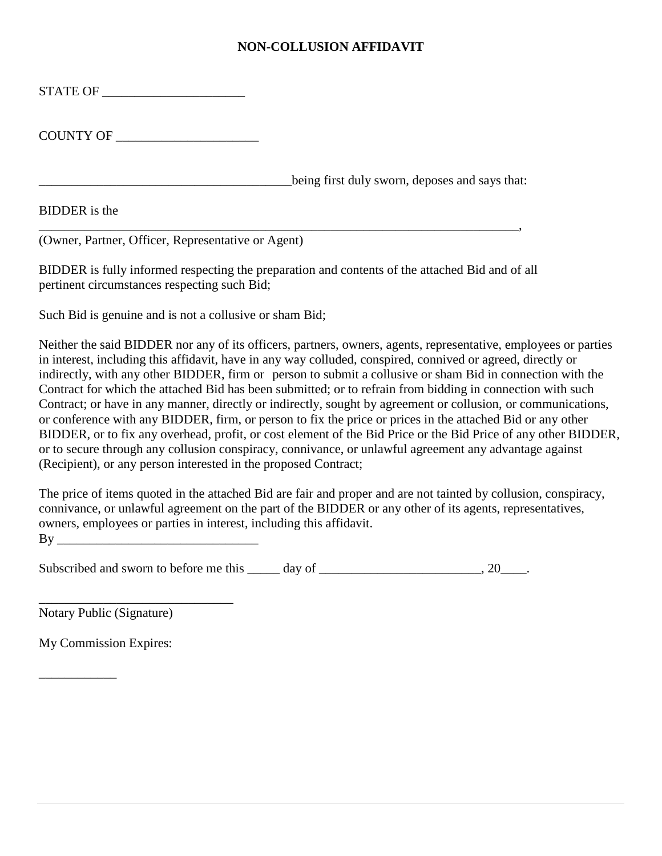#### **NON-COLLUSION AFFIDAVIT**

| COUNTY OF |                                                |
|-----------|------------------------------------------------|
|           |                                                |
|           | being first duly sworn, deposes and says that: |
|           |                                                |

(Owner, Partner, Officer, Representative or Agent)

BIDDER is fully informed respecting the preparation and contents of the attached Bid and of all pertinent circumstances respecting such Bid;

Such Bid is genuine and is not a collusive or sham Bid;

Neither the said BIDDER nor any of its officers, partners, owners, agents, representative, employees or parties in interest, including this affidavit, have in any way colluded, conspired, connived or agreed, directly or indirectly, with any other BIDDER, firm or person to submit a collusive or sham Bid in connection with the Contract for which the attached Bid has been submitted; or to refrain from bidding in connection with such Contract; or have in any manner, directly or indirectly, sought by agreement or collusion, or communications, or conference with any BIDDER, firm, or person to fix the price or prices in the attached Bid or any other BIDDER, or to fix any overhead, profit, or cost element of the Bid Price or the Bid Price of any other BIDDER, or to secure through any collusion conspiracy, connivance, or unlawful agreement any advantage against (Recipient), or any person interested in the proposed Contract;

The price of items quoted in the attached Bid are fair and proper and are not tainted by collusion, conspiracy, connivance, or unlawful agreement on the part of the BIDDER or any other of its agents, representatives, owners, employees or parties in interest, including this affidavit. By \_\_\_\_\_\_\_\_\_\_\_\_\_\_\_\_\_\_\_\_\_\_\_\_\_\_\_\_\_\_\_

Subscribed and sworn to before me this  $\qquad \qquad$  day of  $\qquad \qquad$ , 20

Notary Public (Signature)

\_\_\_\_\_\_\_\_\_\_\_\_\_\_\_\_\_\_\_\_\_\_\_\_\_\_\_\_\_\_

My Commission Expires:

\_\_\_\_\_\_\_\_\_\_\_\_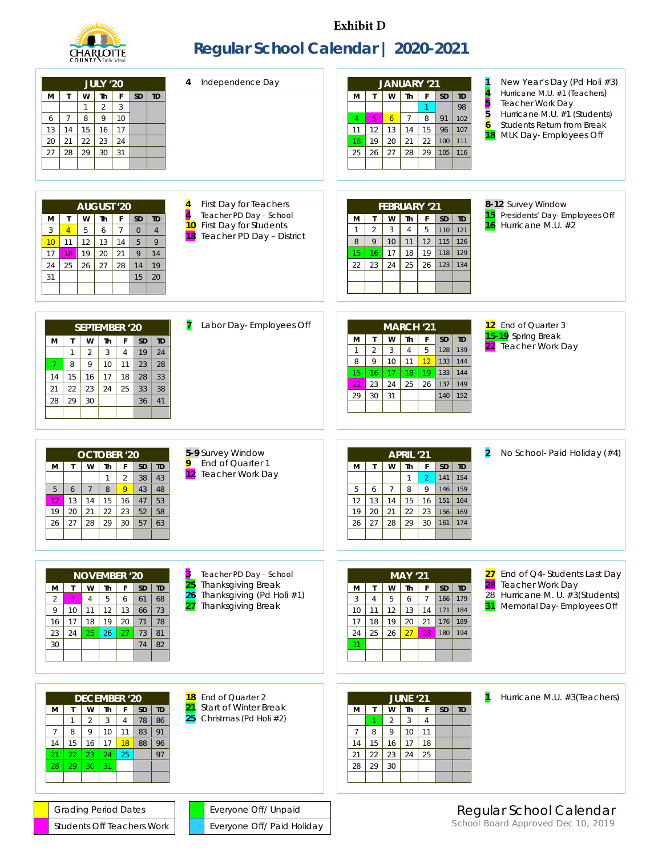

**Exhibit D**

## **Regular School Calendar | 2020-2021**

| Independence Day<br>4<br><b>JULY '20</b><br>Th<br>SD<br>w<br>F<br><b>TD</b><br>М<br>$\mathsf{T}$<br>$\mathbf{3}$<br>$\overline{2}$<br>$\mathbf{1}$<br>$\, 8$<br>9<br>10<br>6<br>$\overline{7}$<br>13<br>15<br>16<br>17<br>14<br>20<br>21<br>22<br>23<br>24<br>30<br>29<br>31<br>27<br>28                                                                                                                                                                                      | New Year's Day (Pd Holi #3)<br>JANUARY '21<br>Hurricane M.U. #1 (Teachers)<br>W<br><b>Th</b><br>F<br><b>TD</b><br>M<br>$\mathsf{T}$<br><b>SD</b><br>5<br>5<br><b>Teacher Work Day</b><br>98<br>$\mathbf{1}$<br>Hurricane M.U. #1 (Students)<br>$\, 8$<br>$\overline{7}$<br>91<br>102<br>6 <sup>1</sup><br>$\overline{4}$<br>5<br>$\overline{6}$<br>Students Return from Break<br>13<br>14<br>15<br>96<br>107<br>12<br>11<br>MLK Day-Employees Off<br>18<br>21<br>22<br>100<br>111<br>19<br>20<br>18<br>27<br>28<br>29<br>105<br>26<br>116<br>25 |
|-------------------------------------------------------------------------------------------------------------------------------------------------------------------------------------------------------------------------------------------------------------------------------------------------------------------------------------------------------------------------------------------------------------------------------------------------------------------------------|-------------------------------------------------------------------------------------------------------------------------------------------------------------------------------------------------------------------------------------------------------------------------------------------------------------------------------------------------------------------------------------------------------------------------------------------------------------------------------------------------------------------------------------------------|
| 4<br>First Day for Teachers<br><b>AUGUST '20</b><br>$\overline{\overline{4}}$<br>Teacher PD Day - School<br>$\mathbf{T}$<br>W<br>Th<br>F<br><b>SD</b><br><b>TD</b><br>М<br>10<br>First Day for Students<br>$\overline{7}$<br>5<br>6<br>$\mathbf{O}$<br>3<br>$\overline{4}$<br>$\overline{4}$<br>18 Teacher PD Day - District<br>9<br>12<br>5<br>13<br>14<br>10<br>11<br>19<br>20<br>21<br>9<br>17<br>14<br>18<br>$27\,$<br>25<br>26<br>28<br>14<br>19<br>24<br>31<br>15<br>20 | 8-12 Survey Window<br><b>FEBRUARY '21</b><br>15<br>Presidents' Day- Employees Off<br>$\mathsf F$<br>$\mathbf{T}$<br>W<br>Th<br><b>SD</b><br><b>TD</b><br>м<br>Hurricane M.U. #2<br>16<br>$\overline{5}$<br>$\overline{2}$<br>$\overline{3}$<br>110<br>121<br>$\overline{4}$<br>$\mathbf 1$<br>$\mathsf{q}$<br>$10$<br>12<br>11<br>8<br>115<br>126<br>17<br>18<br>19<br>15<br>16<br>118<br>129<br>24<br>23<br>25<br>26<br>22<br>123<br>134                                                                                                       |
| 7<br>Labor Day-Employees Off<br><b>SEPTEMBER '20</b><br>W<br>Th<br>$\mathsf{T}$<br>F<br><b>SD</b><br>TD<br>м<br>$\mathbf{1}$<br>$\overline{2}$<br>3<br>$\overline{4}$<br>19<br>24<br>8<br>9<br>10<br>23<br>28<br>11<br>15<br>16<br>17<br>28<br>18<br>33<br>14<br>22<br>23<br>24<br>25<br>33<br>21<br>38<br>29<br>30<br>28<br>36<br>41                                                                                                                                         | 12 End of Quarter 3<br><b>MARCH '21</b><br>15-19 Spring Break<br>Th<br>F<br>$\mathbf{I}$<br>W<br><b>SD</b><br>TD<br>м<br>22 Teacher Work Day<br>$\mathbf 5$<br>$\overline{2}$<br>128<br>3<br>$\overline{4}$<br>139<br>1<br>$10$<br>12<br>8<br>9<br>11<br>133<br>144<br>19<br>16<br>17<br>18<br>133<br>144<br>15<br>25<br>23<br>24<br>26<br>137<br>149<br>22<br>31<br>29<br>30<br>140<br>152                                                                                                                                                     |
| 5-9 Survey Window<br>OCTOBER <sup>1</sup> 20<br>End of Quarter 1<br>9<br>Th<br>W<br>F<br>$\mathsf{T}$<br>SD<br><b>TD</b><br>м<br>12 Teacher Work Day<br>$\overline{2}$<br>38<br>$\mathbf{1}$<br>43<br>8<br>9<br>43<br>$\overline{7}$<br>48<br>5<br>6<br>15<br>13<br>14<br>16<br>47<br>53<br>12<br>20<br>21<br>22<br>23<br>19<br>52<br>58<br>27<br>26<br>28<br>29<br>30<br>57<br>63                                                                                            | No School- Paid Holiday (#4)<br>2<br>APRIL '21<br>$\mathsf F$<br>W<br>Th<br><b>SD</b><br><b>TD</b><br>м<br>$\mathsf{T}$<br>$\overline{2}$<br>$\mathbf{1}$<br>141<br>154<br>8<br>9<br>5<br>$\overline{7}$<br>146<br>159<br>6<br>15<br>13<br>14<br>12<br>16<br>151<br>164<br>21<br>19<br>20<br>22<br>23<br>156<br>169<br>28<br>29<br>27<br>30<br>26<br>161<br>174                                                                                                                                                                                 |
| Teacher PD Day - School<br>3<br><b>NOVEMBER '20</b><br><b>Thanksgiving Break</b><br>25<br>Th<br>$\mathsf{F}$<br>$\mathsf{T}$<br>W<br>SD<br><b>TD</b><br>М<br>Thanksgiving (Pd Holi #1)<br>26<br>3<br>$\sqrt{5}$<br>$\boldsymbol{6}$<br>61<br>68<br>$\overline{c}$<br>$\overline{4}$<br>27<br><b>Thanksgiving Break</b><br>10<br>12<br>13<br>66<br>73<br>9<br>11<br>17<br>$18\,$<br>19<br>20<br>78<br>16<br>71<br>73<br>23<br>24<br>25<br>26<br>27<br>81<br>30<br>74<br>82     | End of Q4- Students Last Day<br>27<br><b>MAY '21</b><br>28 Teacher Work Day<br>W<br><b>Th</b><br>$\mathsf F$<br>SD<br><b>TD</b><br>M<br>$\mathsf{T}$<br>28 Hurricane M. U. #3(Students)<br>$\boldsymbol{7}$<br>5<br>166<br>$\sqrt{3}$<br>6<br>179<br>$\overline{4}$<br>31 Memorial Day- Employees Off<br>12<br>13<br>14<br>171<br>10<br>11<br>184<br>18<br>19<br>21<br>17<br>20<br>176<br>189<br>27<br>25<br>26<br>28<br>24<br>180<br>194<br>31                                                                                                 |
| End of Quarter 2<br>18<br><b>DECEMBER '20</b><br>21<br><b>Start of Winter Break</b><br>W<br>Th<br>SD<br><b>TD</b><br>$\mathsf{T}$<br>F<br>м<br>25<br>Christmas (Pd Holi #2)<br>$\overline{2}$<br>3<br>$\overline{4}$<br>78<br>$\mathbf{1}$<br>86<br>8<br>$\overline{9}$<br>10<br>83<br>11<br>91<br>$\overline{7}$<br>17<br>$15\,$<br>$16\,$<br>18<br>88<br>96<br>14<br>25<br>22<br>23<br>24<br>97<br>21<br>30<br>29<br>31<br>28                                               | Hurricane M.U. #3(Teachers)<br><b>JUNE '21</b><br>$\mathsf T$<br>W<br><b>Th</b><br>$\mathsf F$<br><b>SD</b><br><b>TD</b><br>м<br>$\overline{a}$<br>3<br>$\overline{4}$<br>$\overline{1}$<br>9<br>10<br>$7\overline{ }$<br>8<br>11<br>16<br>17<br>18<br>14<br>15<br>23<br>24<br>25<br>21<br>22<br>$30\,$<br>29<br>28                                                                                                                                                                                                                             |
| <b>Grading Period Dates</b><br>Everyone Off/ Unpaid                                                                                                                                                                                                                                                                                                                                                                                                                           | Regular School Calendar                                                                                                                                                                                                                                                                                                                                                                                                                                                                                                                         |
| Students Off Teachers Work<br>Everyone Off/ Paid Holiday                                                                                                                                                                                                                                                                                                                                                                                                                      | School Board Approved Dec 10, 2019                                                                                                                                                                                                                                                                                                                                                                                                                                                                                                              |